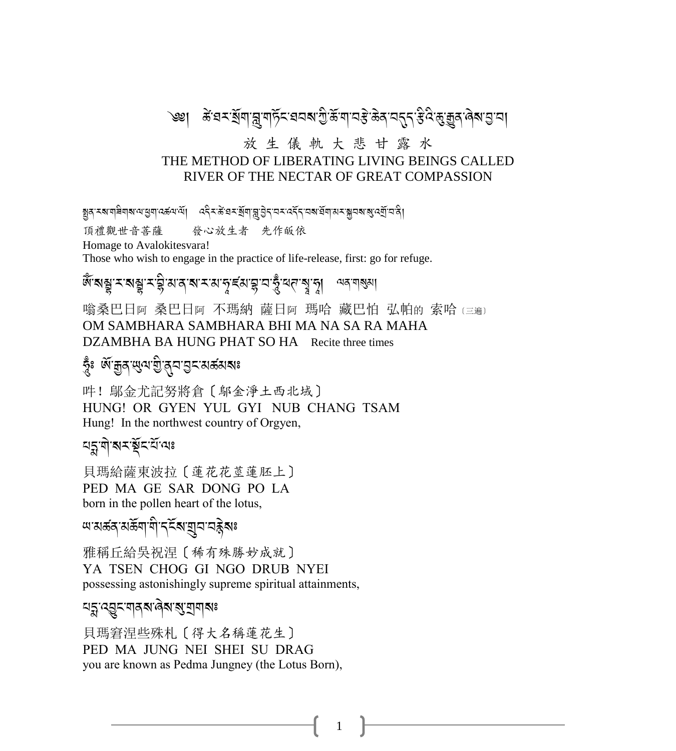### <sup>੶</sup>৩৶<sub>౹</sub> ৾৾*ౙ*ॱয়৲ৠয়<sub>ৗ</sub>য়ৢয়ঢ়ঽৼয়ঽয়ৼঢ়ৣ৻য়ৣ৽য়ৣ৻য়ৣয়৻য়ড়ড়৸ড়ৼঢ়ঢ়ঢ়ড়ৼঢ়ঢ়৸ড়ড়৸ড়ড়য়ঢ়ঢ়৸

#### 放生儀軌大悲甘露水 THE METHOD OF LIBERATING LIVING BEINGS CALLED RIVER OF THE NECTAR OF GREAT COMPASSION

য়ৢঽৼয়য়৾য়য়য়৸য়ড়য়ঢ়ড়ড়৸ড়ৗঢ়৾ঢ়৻৸ড়ৼয়য়৾য়য়ৼয়য়৾য়৸ৼঢ়৸ৼ৸ৼঢ়৸ৼ৸ৼয়৸৸ৼয় 發心放生者 先作皈依 頂禮觀世音菩薩 Homage to Avalokitesvara! Those who wish to engage in the practice of life-release, first: go for refuge.

*জৈ* মন্ত্ৰু মন্ত্ৰু মন্ত্ৰী মান মান কৰা বিভিন্ন আৰু মন্ত্ৰী কৰি পৰা বিভিন্ন কৰা বিভিন্ন কৰা বিভিন্ন কৰা বিভিন্ন

嗡桑巴日阿 桑巴日阿 不瑪納 薩日阿 瑪哈 藏巴怕 弘帕的 索哈 (三遍) OM SAMBHARA SAMBHARA BHI MA NA SA RA MAHA DZAMBHA BA HUNG PHAT SO HA Recite three times

### স্কৃঃ জ্যান্ধ্রুর জিনে এই প্রায় ক্ষেপ্র

吽! 鄔金尤記努將倉 [ 鄔金淨土西北域 ] HUNG! OR GYEN YUL GYI NUB CHANG TSAM Hung! In the northwest country of Orgyen,

<u> নহুৰীৰ ইন্নুক্ৰ</u>ন

目瑪給薩東波拉〔蓮花花莖蓮胚上〕 PED MA GE SAR DONG PO LA born in the pollen heart of the lotus,

*আ*মৰ্ক্ক মৰ্ক্তিশা শীদ্ধিৰ অন্তৰ্ভ কৰি

雅稱丘給吳祝涅〔稀有殊勝妙成就〕 YA TSEN CHOG GI NGO DRUB NYEI possessing astonishingly supreme spiritual attainments,

#### য়য়ৢ৾৻ঽঽৄৼ৾ৼঀঽয়৾৻ঀ৾য়ৼয়ৢয়ঀয়৽

貝瑪窘涅些殊札〔得大名稱蓮花生〕 PED MA JUNG NEI SHEI SU DRAG you are known as Pedma Jungney (the Lotus Born),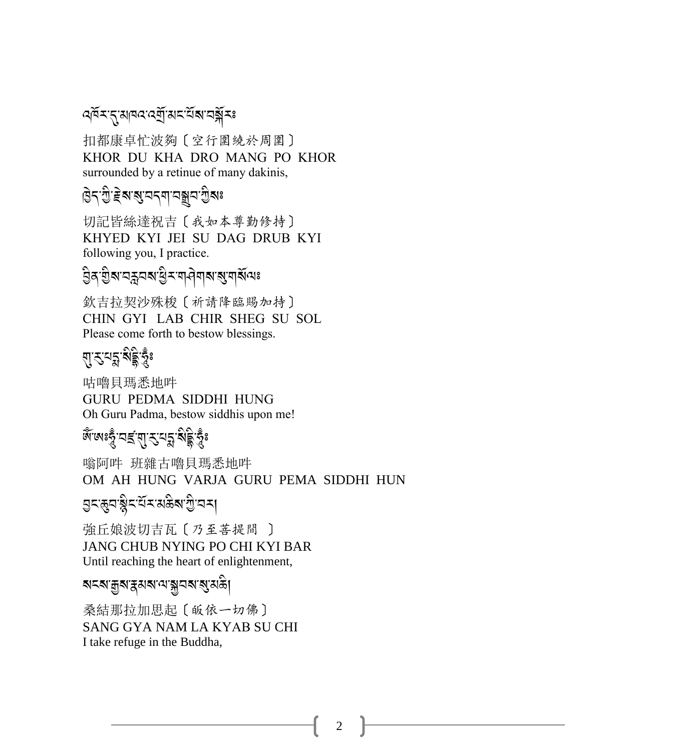#### ৰ্শিমন্মোৰৰ ৰেম্ব্ৰামন মিমানৰ্শ্লীমঃ

扣都康卓忙波夠〔空行圍繞於周圍〕 KHOR DU KHA DRO MANG PO KHOR surrounded by a retinue of many dakinis,

# ়<br>উন্:মূ.<u>ই</u>ৰ্য্যন্ন নম্ব্ৰন মূৰঃ

切記皆絲達祝吉〔我如本尊勤修持〕 KHYED KYI JEI SU DAG DRUB KYI following you, I practice.

#### .<br>වූৰ මූখ নহ্ৰনৰ ট্ৰিম্বনৰ বিশৰ স্থিত্ৰ বি A

欽吉拉契沙殊梭〔祈請降臨賜加持〕 CHIN GYI LAB CHIR SHEG SU SOL Please come forth to bestow blessings.

# য়ৼৼঢ়<sup>ড়</sup>য়ড়৻

咕嚕貝瑪悉地吽 GURU PEDMA SIDDHI HUNG Oh Guru Padma, bestow siddhis upon me!

# ্ৰ<br>জূঞ্জঃভূঁ,<u>বাৰ্</u>হ্'নাৰ্'ৰ্স্ক'ৰ্স্কুষ্ট

嗡阿吽 班雜古嚕貝瑪悉地吽 OM AH HUNG VARJA GURU PEMA SIDDHI HUN

# a<br>ਕੈਟਲੈਂਟ <u>ਟੈ</u>ਟਰ ਕਿਤੀ ਕੀ

強丘娘波切吉瓦〔乃至菩提間 〕 JANG CHUB NYING PO CHI KYI BAR Until reaching the heart of enlightenment,

### ৰ্মমেন্ত্ৰ্মস্ক্ৰমৰাজ্যৰ ক্ষম

桑結那拉加思起〔皈依一切佛〕 SANG GYA NAM LA KYAB SU CHI I take refuge in the Buddha,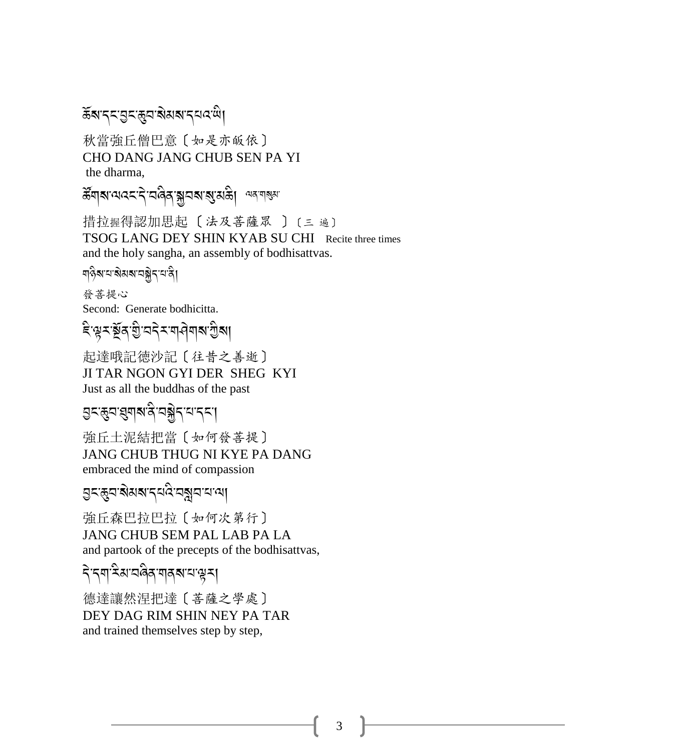ॾॕॺॱॸड़ॱॶड़ॱख़ॖय़ॱॺॆॺॺॱॸय़*य़ऀ*ॱॺऀ

秋當強丘僧巴意〔如是亦皈依〕 CHO DANG JANG CHUB SEN PA YI the dharma,

ส์ๆสานวรรรมสุสามราย และ และ

措拉握得認加思起〔法及菩薩眾〕〔三遍〕 TSOG LANG DEY SHIN KYAB SU CHI Recite three times and the holy sangha, an assembly of bodhisattvas.

ๆวิ่ง ผาจิสง ผลิกมา

發菩提心 Second: Generate bodhicitta.

ৼ৽ৠৼ৾ৠয়ৼৗৣৼঢ়ৼ৻৸ড়৻ড়৻ড়৸

起達哦記徳沙記〔往昔之善逝〕 JI TAR NGON GYI DER SHEG KYI Just as all the buddhas of the past

**ञ्जरङ्घस्यारुक्षित्रं यञ्जैन**, सन्दा

強丘土泥結把當〔如何發菩提〕 **JANG CHUB THUG NI KYE PA DANG** embraced the mind of compassion

ঀৣৼড়ৢয়য়য়য়ৼঀ৻ড়ড়য়য়৸ড়

強丘森巴拉巴拉〔如何次第行〕 JANG CHUB SEM PAL LAB PA LA and partook of the precepts of the bodhisattvas,

ริรุตริมสติสุตรุสรร

德達讓然涅把達〔菩薩之學處〕 DEY DAG RIM SHIN NEY PA TAR and trained themselves step by step,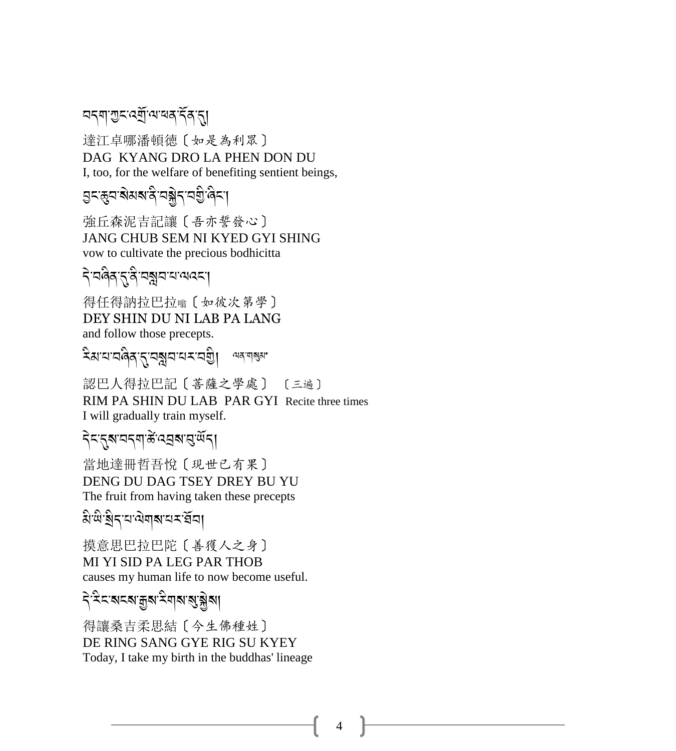### <u> নন্মাশ্ৰন ৰ্ম্ৰী</u> আৰম্বৰ্দীৰ না

達江卓哪潘頓德 [如是為利眾] DAG KYANG DRO LA PHEN DON DU I, too, for the welfare of benefiting sentient beings,

<u> उ</u>द्भुवारोसबादे वङ्गेद वञ्चे बिद्रा

強丘森泥吉記讓〔吾亦誓發心〕 **JANG CHUB SEM NI KYED GYI SHING** vow to cultivate the precious bodhicitta

देखलेत्रुद्गवेख्नुवयल्ल्य

得任得訥拉巴拉喻 [如彼次第學] DEY SHIN DU NI LAB PA LANG and follow those precepts.

देशयावलेवारावञ्जयायमावश्ची অন্™ন্ম্ঝ'

認巴人得拉巴記〔菩薩之學處〕 〔三遍〕 RIM PA SHIN DU LAB PAR GYI Recite three times I will gradually train myself.

### ริสสุสหรรม สิ้นสุสหรู พิธ

當地達冊哲吾悅〔現世已有果〕 DENG DU DAG TSEY DREY BU YU The fruit from having taken these precepts

য়ড়ড়ৢৗৼৼড়৻ড়৸ৼ৻ৼ৻

摸意思巴拉巴陀〔善獲人之身〕 MI YI SID PA LEG PAR THOB causes my human life to now become useful.

ঀ৳ৼৼৼৼৼৼৼৼৼৼৼৼৼৼৼৼৼৼৼৼৼৼৼৼৼৼৼৼৼৼৼৼৼ

得讓桑吉柔思結〔今生佛種姓〕 DE RING SANG GYE RIG SU KYEY Today, I take my birth in the buddhas' lineage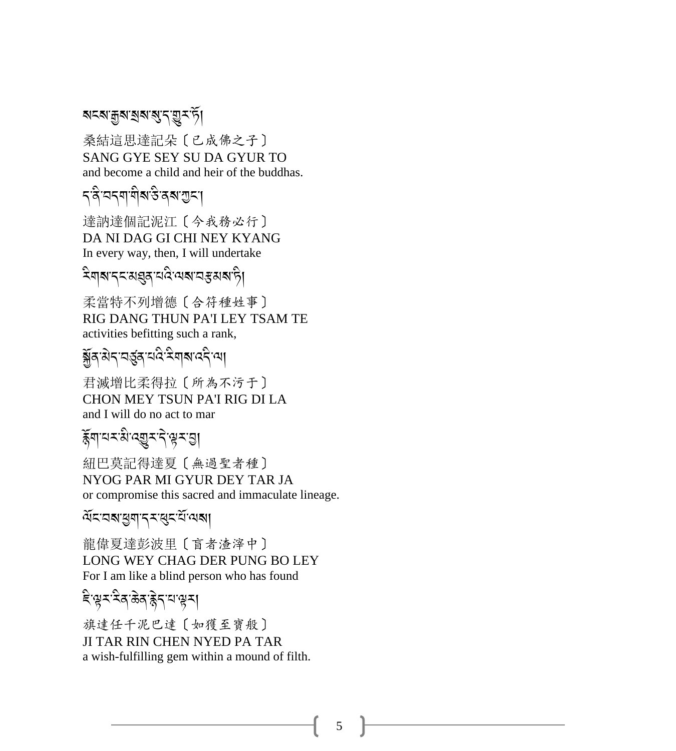#### ৰ্মনৰাক্কুৰ স্বাৰ্থ বাৰ্ম দুৰ্দটা

桑結這思達記朵〔已成佛之子〕 SANG GYE SEY SU DA GYUR TO and become a child and heir of the buddhas.

# বন্ধিৰে বি<br>বন্ধিৰে বি

達訥達個記泥江〔今我務必行〕 DA NI DAG GI CHI NEY KYANG In every way, then, I will undertake

### ূ<br>মণৰা পৰা প্ৰয়প্ত কৰে কৰা কৰা কৰা কৰা কৰা স্বী

柔當特不列增德〔合符種姓事〕 RIG DANG THUN PA'I LEY TSAM TE activities befitting such a rank,

# <u>ङ</u>्गद् अद्र् चार्द्रियाद्रीया

君滅增比柔得拉〔所為不污于〕 CHON MEY TSUN PA'I RIG DI LA and I will do no act to mar

# ূ<br>বিদ্যালয় কৰি কৰি বিদ্যালয় কৰি সময়।<br>ইণালয় বিদ্যালয় কৰি বিদ্যালয় কৰি বিদ্যালয় কৰি বিদ্যালয় কৰি বিদ্যালয় কৰ

紐巴莫記得達夏〔無過聖者種〕 NYOG PAR MI GYUR DEY TAR JA or compromise this sacred and immaculate lineage.

### $\widetilde{\mathcal{A}}$ মহানাম্ব্ৰাম্ব্ৰা

龍偉夏達彭波里〔盲者渣滓中〕 LONG WEY CHAG DER PUNG BO LEY For I am like a blind person who has found

## ्<br>दिख्यादिताङ्केदायाञ्च<u>र</u>ा

旗達任千泥巴達〔如獲至寶般〕 JI TAR RIN CHEN NYED PA TAR a wish-fulfilling gem within a mound of filth.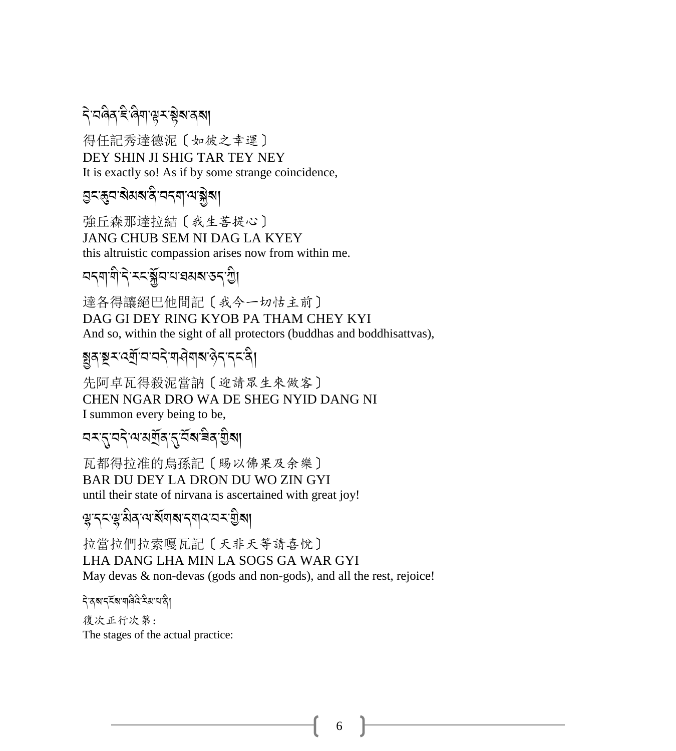दे वलेव हे लेग यू र ब्लेबादबा A

得任記秀達德泥〔如彼之幸運〕 DEY SHIN JI SHIG TAR TEY NEY It is exactly so! As if by some strange coincidence,

g<ଞ୍ବ'ৰ\থৰ'ৰ বিনিক্ষালী<br>বিশ্ৰম

強丘森那達拉結〔我生菩提心〕 JANG CHUB SEM NI DAG LA KYEY this altruistic compassion arises now from within me.

## নন্মামী নিম্নাষ্ট্ৰনা<br>নক্ষা বিদ্যালয় কৰা বিদ্যা

達各得讓絕巴他間記〔我今一切怙主前〕 DAG GI DEY RING KYOB PA THAM CHEY KYI And so, within the sight of all protectors (buddhas and boddhisattvas),

### হ্বুনম্বন্দ্ৰ্য অন্যান্ন কৰি স্থানী সম্বন্ন কৰি।

先阿卓瓦得殺泥當訥〔迎請眾生來做客〕 CHEN NGAR DRO WA DE SHEG NYID DANG NI I summon every being to be,

# নমন্বেনী কৰি প্ৰতিষ্কাৰী সমূহ বিশ্বি

瓦都得拉准的烏孫記〔賜以佛果及余樂〕 BAR DU DEY LA DRON DU WO ZIN GYI until their state of nirvana is ascertained with great joy!

z-.%-z-3 /-=-?R\$?-.\$:-2<-I A?, A

拉當拉們拉索嘎瓦記〔天非天等請喜悅〕 LHA DANG LHA MIN LA SOGS GA WAR GYI May devas & non-devas (gods and non-gods), and all the rest, rejoice!

ริสุสรรัสตตุลิวริมมลิ

復次正行次第: The stages of the actual practice: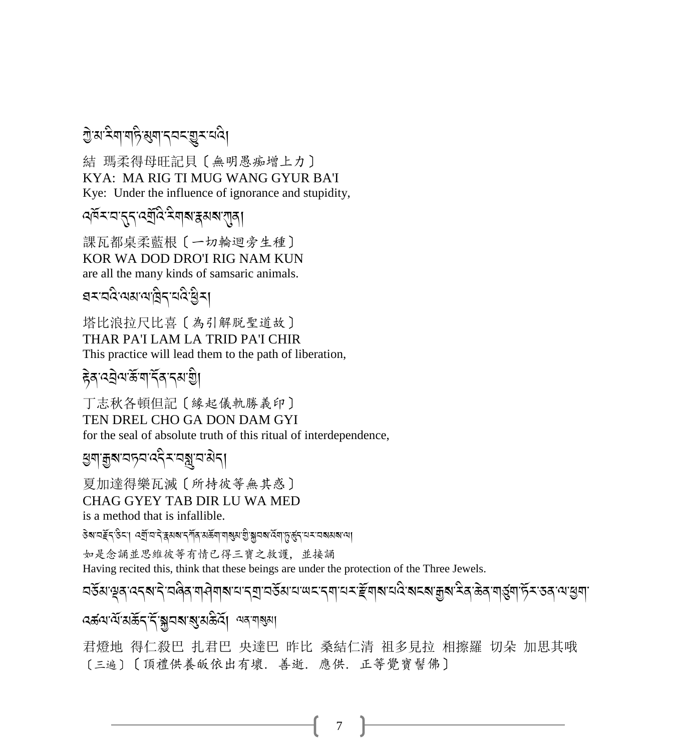### <u>ਹ</u>ੇ अ <sup>?</sup> सा सहिख्या दयदाञ्च र दि।

結 瑪柔得母旺記貝〔無明愚痴增上力〕 KYA: MA RIG TI MUG WANG GYUR BA'I Kye: Under the influence of ignorance and stupidity,

### ৰ্শিমমন্ত্ৰৰ পৰীত মিলাৰ সম্বাৰী

課瓦都桌柔藍根 [一切輪迴旁生種] KOR WA DOD DRO'I RIG NAM KUN are all the many kinds of samsaric animals.

बरावदेखरावाद्वीर वद्धिया

塔比浪拉尺比喜〔為引解脱聖道故〕 THAR PA'I LAM LA TRID PA'I CHIR This practice will lead them to the path of liberation,

हेवादवेवार्कवार्देवादवांश्चे।

丁志秋各頓但記〔緣起儀軌勝義印〕 TEN DREL CHO GA DON DAM GYI for the seal of absolute truth of this ritual of interdependence,

ড়ঀ৾ড়য়ৼঢ়ঽৼঽৼৼড়য়৸ড়ঀ

夏加達得樂瓦滅〔所持彼等無其惑〕 CHAG GYEY TAB DIR LU WA MED is a method that is infallible.

डेबायर्हेद डेटा। द्यायदे द्वयबाद गेंव अर्केषा पाबुरा शुक्लाव देवा कुर्कुदाय साबय बाया

如是念誦並思維彼等有情已得三寶之救護,並接誦

Having recited this, think that these beings are under the protection of the Three Jewels.

*ॸ*ड़ॕॺॱॺॖॺॱढ़ॸॺॱॸॆॱॸऻऀॺज़ऄग़ॺॱय़ॱॸॶॱॸॶॕॺॱय़ॱॺॸॱॸॺॱॺॸॱॾॕग़ॺॱय़ढ़ऀॱॺॸॺॱक़ॗॺॱॸऀॺॱऄ<sub>ॳ</sub>ॱऄॷॱफ़ॕॖॸॱड़ॺॱॺॱख़ॖॺऻ

বৰ্কন্ম মৰ্ক্তিন নিজ্নৰ স্থান কৰি আৰু নাৰ্জ্য

君燈地 得仁殺巴 扎君巴 央達巴 昨比 桑結仁清 祖多見拉 相擦羅 切朵 加思其哦 [三遍][頂禮供養皈依出有壞, 善逝, 應供, 正等覺寶髻佛]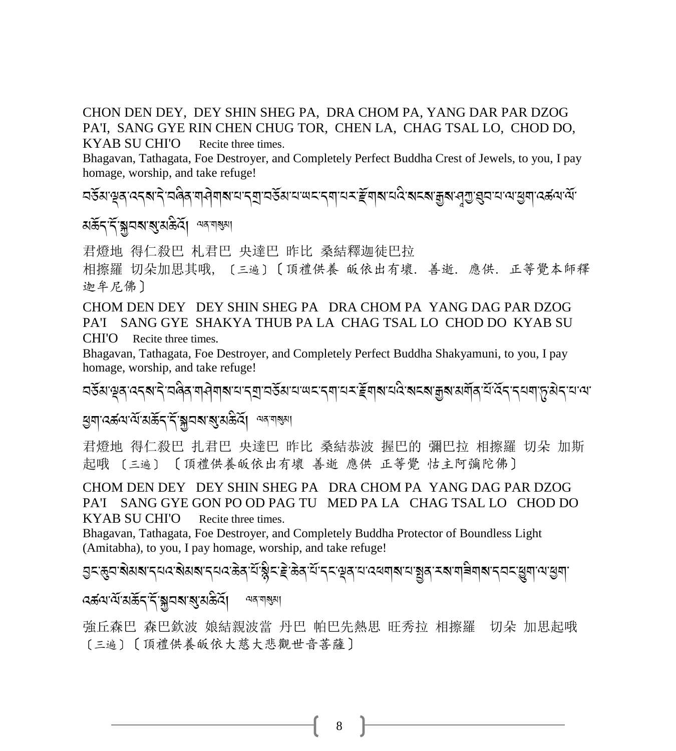#### CHON DEN DEY, DEY SHIN SHEG PA, DRA CHOM PA, YANG DAR PAR DZOG PA'I, SANG GYE RIN CHEN CHUG TOR, CHEN LA, CHAG TSAL LO, CHOD DO,

KYAB SU CHI'O Recite three times.

Bhagavan, Tathagata, Foe Destroyer, and Completely Perfect Buddha Crest of Jewels, to you, I pay homage, worship, and take refuge!

<u>नडॅबाब्रुवाददबादे तालेवायात्रां रंगतेबाद्यां राजस्था पारंगते संस्थां पुरारंगते स्थाने वाडीवात्रां संस्थाने स्</u>

#### মৰ্ক্টন'ৰ্ন'ৰ্মুম্ম'ৰ সমী মন্মশৰ্জ্ঞা

君燈地 得仁殺巴 札君巴 央達巴 昨比 桑結釋迦徒巴拉

相擦羅 切朵加思其哦, 〔三遍〕〔頂禮供養 皈依出有壞. 善逝. 應供. 正等覺本師釋 迦牟尼佛〕

CHOM DEN DEY DEY SHIN SHEG PA DRA CHOM PA YANG DAG PAR DZOG PA'I SANG GYE SHAKYA THUB PA LA CHAG TSAL LO CHOD DO KYAB SU CHI'O Recite three times*.*

Bhagavan, Tathagata, Foe Destroyer, and Completely Perfect Buddha Shakyamuni, to you, I pay homage, worship, and take refuge!

2&R3-w/-:.?-.J-28 A/-\$>J\$?-0-.P-2&R3-0-;%-. \$-0<-eR\$?-0: A-?%?-o?-3\$R/-0R-:R.-.0\$-+-3J.-0-=-

### <u>ধ্</u>রনার্ব্র্য প্রাপ্তার্ট (মাই-স্মান্ত্র্য বিশিক্ষিণ)<br>প্রাপ্তার্থ-স্থার্থ-পূর্ব্য বিশিক্ষা

君燈地 得仁殺巴 扎君巴 央達巴 昨比 桑結恭波 握巴的 彌巴拉 相擦羅 切朵 加斯 起哦 〔三遍〕 〔頂禮供養皈依出有壞 善逝 應供 正等覺 怙主阿彌陀佛〕

CHOM DEN DEY DEY SHIN SHEG PA DRA CHOM PA YANG DAG PAR DZOG PA'I SANG GYE GON PO OD PAG TU MED PA LA CHAG TSAL LO CHOD DO KYAB SU CHI'O Recite three times.

Bhagavan, Tathagata, Foe Destroyer, and Completely Buddha Protector of Boundless Light (Amitabha), to you, I pay homage, worship, and take refuge!

त<br>निर्द्धियः स्वयं स्थान् सत्यः सेअस्य स्थले कर्णान् कर्तुं स्थान् स्थान् स्थान् स्थान् स्थान् स्थान् स्थान् स्था A

:বৰ্ক্তৰামাঁ মাৰ্ক্তন কৰি। A  $\approx$ ন $\approx$ ম $\approx$ 

強丘森巴 森巴欽波 娘結親波當 丹巴 帕巴先熱思 旺秀拉 相擦羅 切朵 加思起哦 〔三遍〕〔頂禮供養皈依大慈大悲觀世音菩薩〕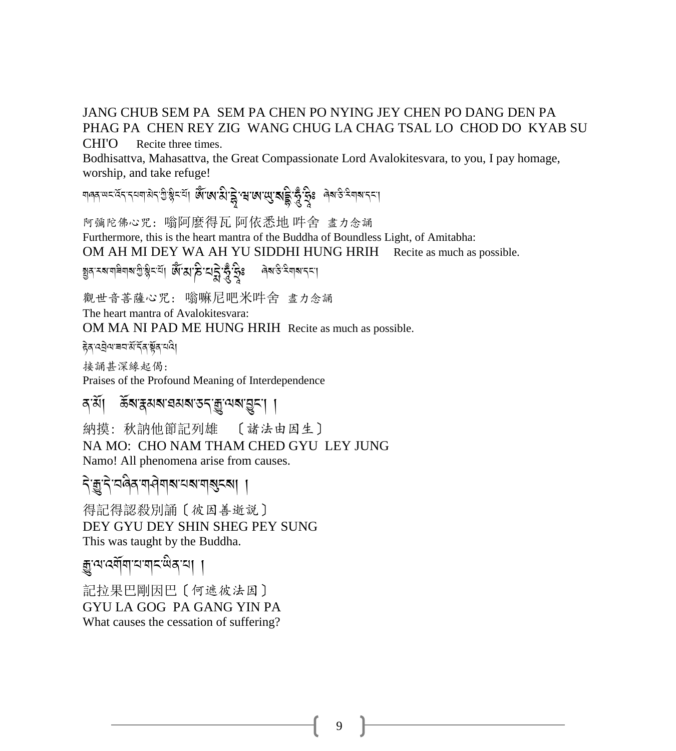#### JANG CHUB SEM PA SEM PA CHEN PO NYING JEY CHEN PO DANG DEN PA PHAG PA CHEN REY ZIG WANG CHUG LA CHAG TSAL LO CHOD DO KYAB SU

**CHI'O** Recite three times.

Bodhisattva, Mahasattva, the Great Compassionate Lord Avalokitesvara, to you, I pay homage, worship, and take refuge!

गलत राम स्वत् पर पर के हैं। अपने स्वत् के स्वार्थ के स्वार्थ के स्वार्थ स्वार्थ के स्वार्थ के स्वार्थ

阿彌陀佛心咒: 嗡阿麼得瓦 阿依悉地 吽舍 盡力念誦 Furthermore, this is the heart mantra of the Buddha of Boundless Light, of Amitabha: OM AH MI DEY WA AH YU SIDDHI HUNG HRIH Recite as much as possible. য়ৢঽ৾ৼয়য়৾৾য়য়য়ড়ড়ৢৠৼৼৢ৾ঀ৾৾ ড়৻ৼঀ৻ড়ৢৼড়ৢৼড়ৢৼড়ৢৼ

觀世音菩薩心咒: 嗡嘛尼吧米吽舍 盡力念誦

The heart mantra of Avalokitesvara:

OM MA NI PAD ME HUNG HRIH Recite as much as possible.

हेव दवेव बयअँ देव यूव यदे।

接誦甚深緣起偈: Praises of the Profound Meaning of Interdependence

#### ন`র্য়। উন্মস্থমন্মন্য ডন্'ক্রু'অন্ম'য়ুন'। ।

納摸: 秋訥他節記列雄 〔諸法由因生〕 NA MO: CHO NAM THAM CHED GYU LEY JUNG Namo! All phenomena arise from causes.

#### दे: कुदे:चलैव:या वेयाव्याचा बाह्य दब्धा ।

得記得認殺別誦〔彼因善逝說〕 DEY GYU DEY SHIN SHEG PEY SUNG This was taught by the Buddha.

### ক্কুঅর্যেমিঅব্যন্থ জিব্রা

記拉果巴剛因巴〔何遮彼法因〕 GYU LA GOG PA GANG YIN PA What causes the cessation of suffering?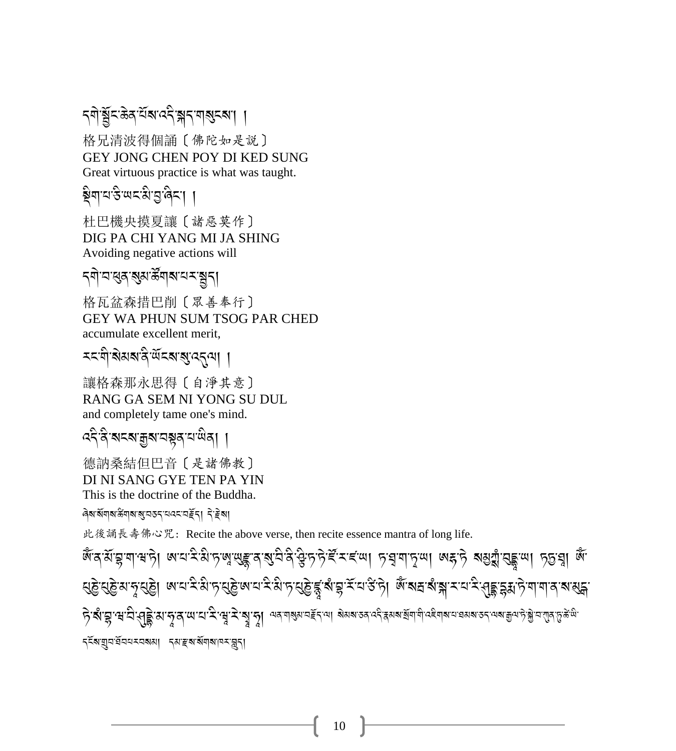### ॸ्षोञ्चॅदळ्क्ष्यॅब्स्द्देञ्जन् बाह्यरब्स् ।

格兄清波得個誦〔佛陀如是說〕 GEY JONG CHEN POY DI KED SUNG Great virtuous practice is what was taught.

ब्रेगयर् खर्थियुर्वेदा ।

杜巴機央摸夏讓 [ 諸惡莫作] DIG PA CHI YANG MI JA SHING Avoiding negative actions will

*ॸ*्षो ञासुवाञ्जुत्राऊँ बाबाय बङ्गान्।

格瓦盆森措巴削 [眾善奉行] **GEY WA PHUN SUM TSOG PAR CHED** accumulate excellent merit,

*ম*নথীৰ মৰাজী অনহাৰী পৰিবলগী ।

讓格森那永思得〔自淨其意〕 RANG GA SEM NI YONG SU DUL and completely tame one's mind.

ক্ষ্ণ ৰামৰা ক্ৰমানম্বৰ নাম্বৰা

德訥桑結但巴音〔是諸佛教〕 DI NI SANG GYE TEN PA YIN This is the doctrine of the Buddha.

ৰিম'ৰ্মমাম'ৰ্ক্তমাৰা ৰামহামহম আৰু বিদ্ৰা

此後誦長壽佛心咒: Recite the above verse, then recite essence mantra of long life.

জুৰে মূৰ্দ্বাৰটা লব্দ্বপূৰ্ণৰ প্ৰতিষ্ঠাৰ পৰি দিন কৰা দিয়া প্ৰকাৰ কৰি প্ৰাৰ্থ কৰি প্ৰাৰ্থ কৰি। हे शुद्धाञ्च साद्य सङ्क्षित्याञ्च साद्य स्थाप्रदाञ्चाञ्चा अवसालहरूला बेह्रबाल संसदन संसदन संसदन संसदन संसदन के अत <িয়ারী প্রাপ্ত বিদ্যালয় বিদ্রালয় বিদ্যালয় বিদ্যালয়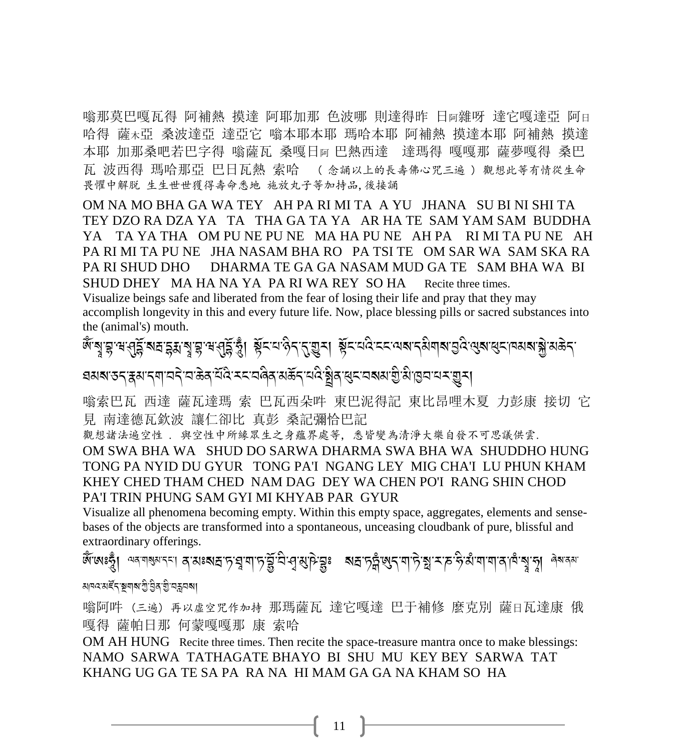嗡那莫巴嘎瓦得 阿補熱 摸達 阿耶加那 色波哪 則達得昨 日阿雜呀 達它嘎達亞 阿日 哈得 薩木亞 桑波達亞 達亞它 嗡本耶本耶 瑪哈本耶 阿補熱 摸達本耶 阿補熱 摸達 本耶 加那桑吧若巴字得 嗡薩瓦 桑嘎日<sup>阿</sup> 巴熱西達 達瑪得 嘎嘎那 薩夢嘎得 桑巴 瓦 波西得 瑪哈那亞 巴日瓦熱 索哈 ( 念誦以上的長壽佛心咒三遍 ) 觀想此等有情從生命 畏懼中解脱 生生世世獲得壽命悉地 施放丸子等加持品,後接誦

OM NA MO BHA GA WA TEY AH PA RI MI TA A YU JHANA SU BI NI SHI TA TEY DZO RA DZA YA TA THA GA TA YA AR HA TE SAM YAM SAM BUDDHA YA TA YA THA OM PU NE PU NE MA HA PU NE AH PA RI MI TA PU NE AH PA RI MI TA PU NE JHA NASAM BHA RO PA TSI TE OM SAR WA SAM SKA RA PA RI SHUD DHO DHARMA TE GA GA NASAM MUD GA TE SAM BHA WA BI SHUD DHEY MA HA NA YA PA RI WA REY SO HA Recite three times.

Visualize beings safe and liberated from the fear of losing their life and pray that they may accomplish longevity in this and every future life. Now, place blessing pills or sacred substances into the (animal's) mouth.

ू<br>लूडी डै.अर्टी : अर्ट्यू शर्ट स्थली से अर्ट्यू । सूटात कुर्ट से अर्ट्यू से सूटात कर से स्थान अर्टी अथ सेटी जथवाओ ସୟଷ୍ଠାରେ ''ସ୍ରା'' ସେ ।<br>ସ୍ୟାକ୍ତ '' ସେ '' ସେ ।' ସେ ଏକା ସେ ।' ସେ ।' ସେ ।' ସେ ।' ସେ ।' ସେ ।' ସେ ।' ସେ ।' ସେ ।' ସେ । .<br>.

嗡索巴瓦 西達 薩瓦達瑪 索 巴瓦西朵吽 東巴泥得記 東比昂哩木夏 力彭康 接切 它 見 南達德瓦欽波 讓仁卻比 真彭 桑記彌恰巴記

觀想諸法遍空性 . 與空性中所緣眾生之身蘊界處等, 悉皆變為清淨大樂自發不可思議供雲. OM SWA BHA WA SHUD DO SARWA DHARMA SWA BHA WA SHUDDHO HUNG TONG PA NYID DU GYUR TONG PA'I NGANG LEY MIG CHA'I LU PHUN KHAM KHEY CHED THAM CHED NAM DAG DEY WA CHEN PO'I RANG SHIN CHOD PA'I TRIN PHUNG SAM GYI MI KHYAB PAR GYUR

Visualize all phenomena becoming empty. Within this empty space, aggregates, elements and sensebases of the objects are transformed into a spontaneous, unceasing cloudbank of pure, blissful and extraordinary offerings.

ক্ষেত্ৰবোৱা, আনহাত<br>আনহাত্ৰবোৱা, অনেলছন ચાવવ અર્દેદ ছাণাઓ છે. 99.56 એ

嗡阿吽 (三遍) 再以虛空咒作加持 那瑪薩瓦 達它嘎達 巴于補修 麼克別 薩日瓦達康 俄 嘎得 薩帕日那 何蒙嘎嘎那 康 索哈

OM AH HUNG Recite three times. Then recite the space-treasure mantra once to make blessings: NAMO SARWA TATHAGATE BHAYO BI SHU MU KEY BEY SARWA TAT KHANG UG GA TE SA PA RA NA HI MAM GA GA NA KHAM SO HA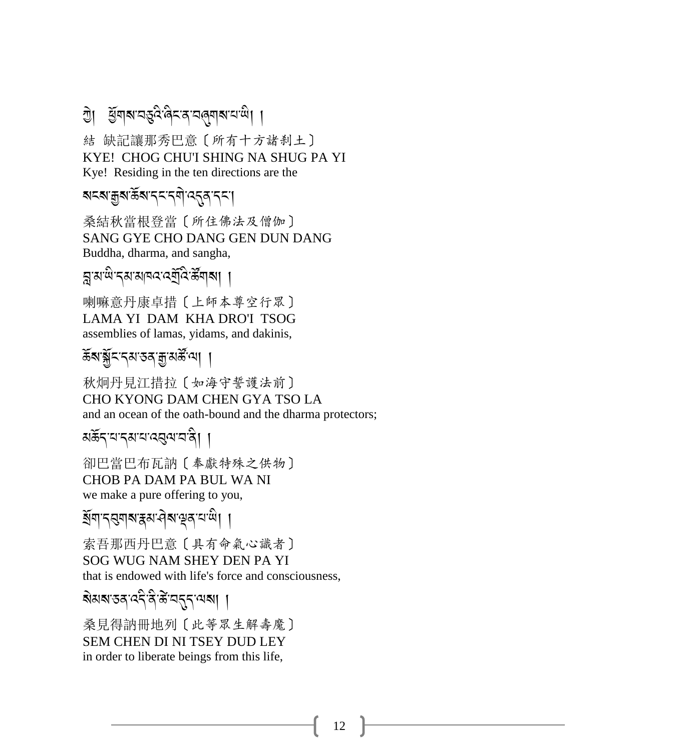### ये। अंगबान् दुवे बिनवान विद्यापाली ।

結 缺記讓那秀巴意〔所有十方諸刹土〕 KYE! CHOG CHU'I SHING NA SHUG PA YI Kye! Residing in the ten directions are the

### **สะส**าสูสาธิ์สารรารศา 35สารรา

桑結秋當根登當〔所住佛法及僧伽〕 SANG GYE CHO DANG GEN DUN DANG Buddha, dharma, and sangha,

য়ৢয়ড়৾ৼঀয়য়ঢ়ড়৻ৼড়ৢঢ়৻ৼৣড়ৢয়৾য়

喇嘛意丹康卓措〔上師本尊空行眾〕 LAMA YI DAM KHA DRO'I TSOG assemblies of lamas, yidams, and dakinis,

### रें बार् ब्रेंट दय उन मुखर्के था।

秋炯丹見江措拉〔如海守誓護法前〕 CHO KYONG DAM CHEN GYA TSO LA and an ocean of the oath-bound and the dharma protectors;

अर्केदायादयायादवयावाते। ।

卻巴當巴布瓦訥〔奉獻特殊之供物〕 **CHOB PA DAM PA BUL WA NI** we make a pure offering to you,

ইশিদ্ববাৰ ক্ষক্ৰ প্ৰক্ষক আ

索吾那西丹巴意〔具有命氣心識者〕 SOG WUG NAM SHEY DEN PA YI that is endowed with life's force and consciousness,

桑見得訥冊地列〔此等眾生解壽魔〕 **SEM CHEN DI NI TSEY DUD LEY** in order to liberate beings from this life,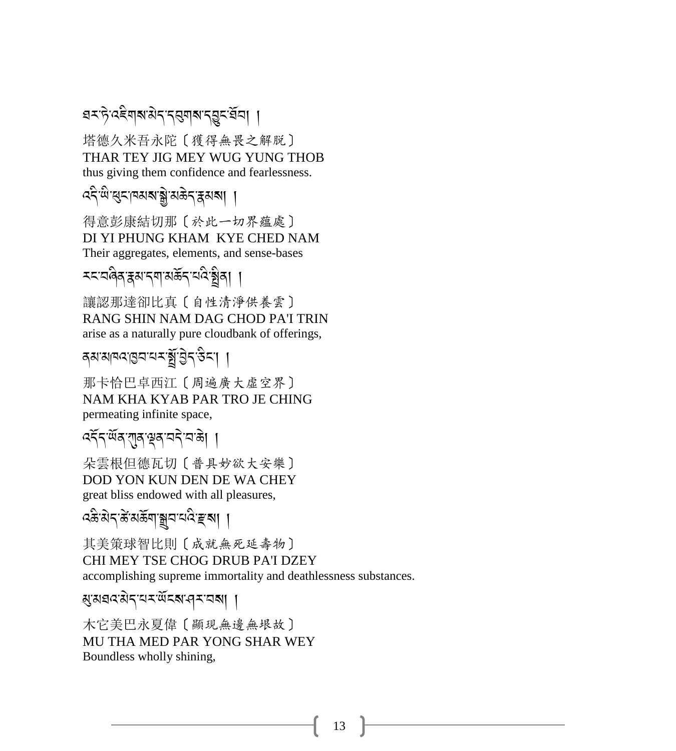#### ৱমদ্টৰেইনাৰাটাৰ ব্ৰন্থাৰাৰ <u>বি</u>মন্ত্ৰী । A

塔德久米吾永陀〔獲得無畏之解脱〕 THAR TEY JIG MEY WUG YUNG THOB thus giving them confidence and fearlessness.

## द्दे<sup>-</sup>लि:ब्रट्रान्नश्राञ्जै:अक्रेट्र्इश्वा ।

得意彭康結切那〔於此一切界蘊處〕 DI YI PHUNG KHAM KYE CHED NAM Their aggregates, elements, and sense-bases

<%-28 A/-i3-.\$-3 (R.-0: A-3 A/, ,

讓認那達卻比真〔自性清淨供養雲〕 RANG SHIN NAM DAG CHOD PA'I TRIN arise as a naturally pure cloudbank of offerings,

|<br>|<br>| | |><del>T</del>3-3||ara-1953

那卡恰巴卓西江〔周遍廣大虛空界〕 NAM KHA KYAB PAR TRO JE CHING permeating infinite space,

### ক্ষ্মৰ ব্যৰ স্বান্দ্ৰ ।

朵雲根但德瓦切〔普具妙欲大安樂〕 DOD YON KUN DEN DE WA CHEY great bliss endowed with all pleasures,

.<br>दक्षे:ब्रेद्'क्षे:ब्रॅंक्षा:ङ्ग्रूव'यदि'ङ्क्ष्

其美策球智比則〔成就無死延壽物〕 CHI MEY TSE CHOG DRUB PA'I DZEY accomplishing supreme immortality and deathlessness substances.

3-3,:-3J.-0<-;R%?-><-2?, ,

木它美巴永夏偉〔顯現無邊無垠故〕 MU THA MED PAR YONG SHAR WEY Boundless wholly shining,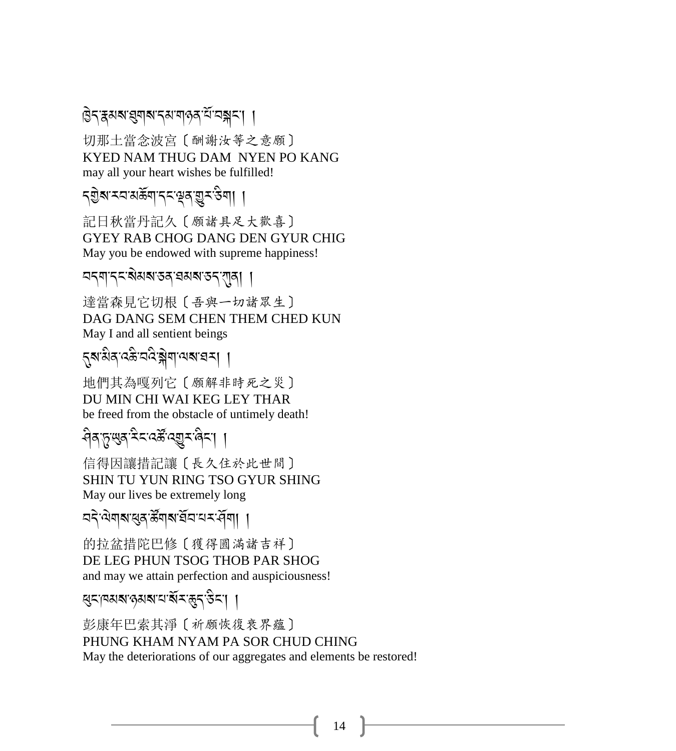### डिन क्षया सुषा राज्या पाउन ये व्यञ्जन।

切那土當念波宮〔酬謝汝等之意願〕 KYED NAM THUG DAM NYEN PO KANG may all your heart wishes be fulfilled!

### 

記日秋當丹記久〔願諸具足大歡喜〕 **GYEY RAB CHOG DANG DEN GYUR CHIG** May you be endowed with supreme happiness!

#### নন্মান্ন ৰামৰাতন অৰাজন বাৰা ।

達當森見它切根〔吾與一切諸眾生〕 DAG DANG SEM CHEN THEM CHED KUN May I and all sentient beings

### ্নুৰামীৰ্'বক্তী'নবি'ক্লীনা'ঝৰা'হাম। ।

地們其為嘎列它〔願解非時死之災〕 DU MIN CHI WAI KEG LEY THAR be freed from the obstacle of untimely death!

### <u> सेवानुष्णुवादेदादर्भेद्युदावेदा ।</u>

信得因讓措記讓〔長久住於此世間〕 SHIN TU YUN RING TSO GYUR SHING May our lives be extremely long

### ন্দ্ৰৌমাৰা ৰুমুক্ত উনাম ইনাম মৰ্মী ।

的拉盆措陀巴修〔獲得圓滿諸吉祥〕 DE LEG PHUN TSOG THOB PAR SHOG and may we attain perfection and auspiciousness!

$$
\mathbb{E}[\mathcal{S}^{\text{max}}] = \mathbb{E}[\mathcal{S}^{\text{max}}]
$$

彭康年巴索其淨〔祈願恢復衰界蘊〕 PHUNG KHAM NYAM PA SOR CHUD CHING May the deteriorations of our aggregates and elements be restored!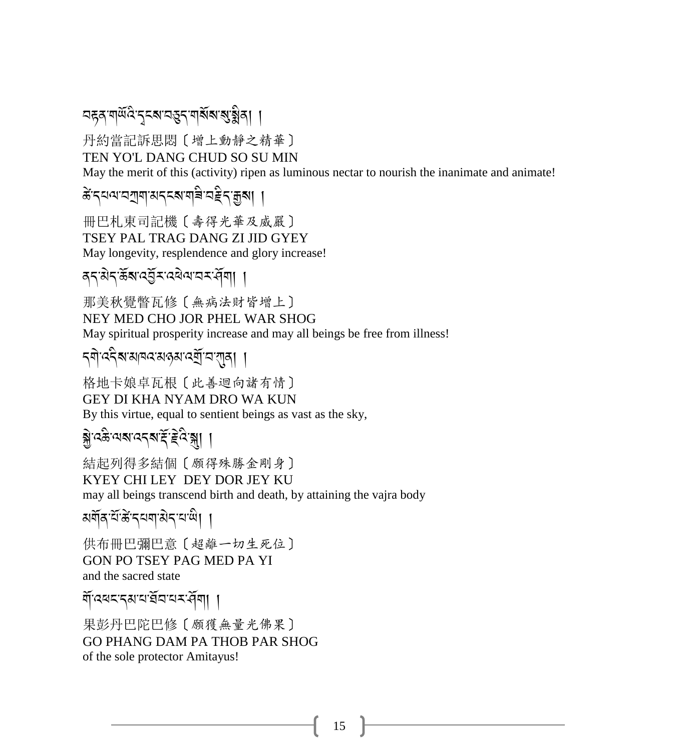### <u> নহুৰ শৰ্মিণ বিৰোধৰ প্ৰথম প্ৰাৰ্থ</u>ী

丹約當記訴思悶〔增上動靜之精華〕 TEN YO'L DANG CHUD SO SU MIN

May the merit of this (activity) ripen as luminous nectar to nourish the inanimate and animate!

### कें दयवाययागा अददबागविन्वहेदाकुत्रा ।

冊巴札東司記機 [ 壽得光華及威嚴] TSEY PAL TRAG DANG ZI JID GYEY May longevity, resplendence and glory increase!

### द्रायेदऊ्षाद्वें रादवेवायरसँगा ।

那美秋覺瞥瓦修〔無病法財皆增上〕 NEY MED CHO JOR PHEL WAR SHOG May spiritual prosperity increase and may all beings be free from illness!

### *দ্*ণা বহীৰা মানব মন্ত্ৰমা বৰ্ষা ভাগ্মনা ।

格地卡娘卓瓦根〔此善迴向諸有情〕 **GEY DI KHA NYAM DRO WA KUN** By this virtue, equal to sentient beings as vast as the sky,

# ब्रु:दक्षे वश्य बन्द र इंद्र के ।

結起列得多結個〔願得殊勝金剛身〕 KYEY CHI LEY DEY DOR JEY KU may all beings transcend birth and death, by attaining the vajra body

अर्वोव टॅक्किन्दयवासेन याली ।

供布冊巴彌巴意〔超離一切生死位〕 GON PO TSEY PAG MED PA YI and the sacred state

गें दबदादबादार्जना ।

果彭丹巴陀巴修 [願獲無量光佛果] GO PHANG DAM PA THOB PAR SHOG of the sole protector Amitayus!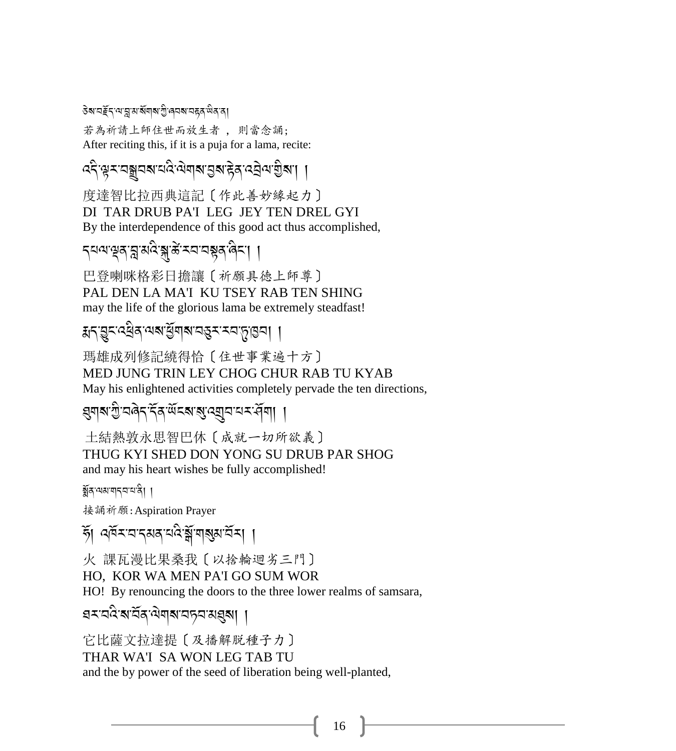#### ऄॺॱय़*ॾॖॕ*ॸॱॺॱॸॢॱॺॱॺॕॺऻॺॱग़ॗऀॱढ़य़ॺॱय़ड़ॺॱ<sup>ख़ऀ</sup>ॺॱॺऻ

若為祈請上師住世而放生者 , 則當念誦; After reciting this, if it is a puja for a lama, recite:

# ,<br>दि'श्ले राज्ञ ने दानुराज्ञा राज्ञा से अपने प्राप्त ।

度達智比拉西典這記〔作此善妙緣起力〕 DI TAR DRUB PA'I LEG JEY TEN DREL GYI By the interdependence of this good act thus accomplished,

#### -<br>न्यव्यञ्ज्ञान्नुत्रविद्ग्राङ्कं स्वायञ्जूतालया । A

巴登喇咪格彩日擔讓〔祈願具徳上師尊〕 PAL DEN LA MA'I KU TSEY RAB TEN SHING may the life of the glorious lama be extremely steadfast!

# ू<br>सन् बुद्दर्खेव अब बुँगबाद्यस्य स्थाना ।

瑪雄成列修記繞得恰〔住世事業遍十方〕 MED JUNG TRIN LEY CHOG CHUR RAB TU KYAB May his enlightened activities completely pervade the ten directions,

### ,<br>इया**वा**:गु:बखेद देव:खॅदवाडा:ब्युवादादार्दवा। ।

 土結熱敦永思智巴休〔成就一切所欲義〕 THUG KYI SHED DON YONG SU DRUB PAR SHOG and may his heart wishes be fully accomplished!

য়ুঁৰ'অম'ন্নন'ম'ৰী ।

接誦祈願:Aspiration Prayer

# @R, :#R<-2-.3/-0: A-|R-\$?3-2R<, ,

火 課瓦漫比果桑我〔以捨輪迴劣三門〕 HO, KOR WA MEN PA'I GO SUM WOR HO! By renouncing the doors to the three lower realms of samsara,

হ্মান্ত্রিজার্নী বিদ্যালয় করা করা করা  $\eta$ 

它比薩文拉達提〔及播解脱種子力〕 THAR WA'I SA WON LEG TAB TU and the by power of the seed of liberation being well-planted,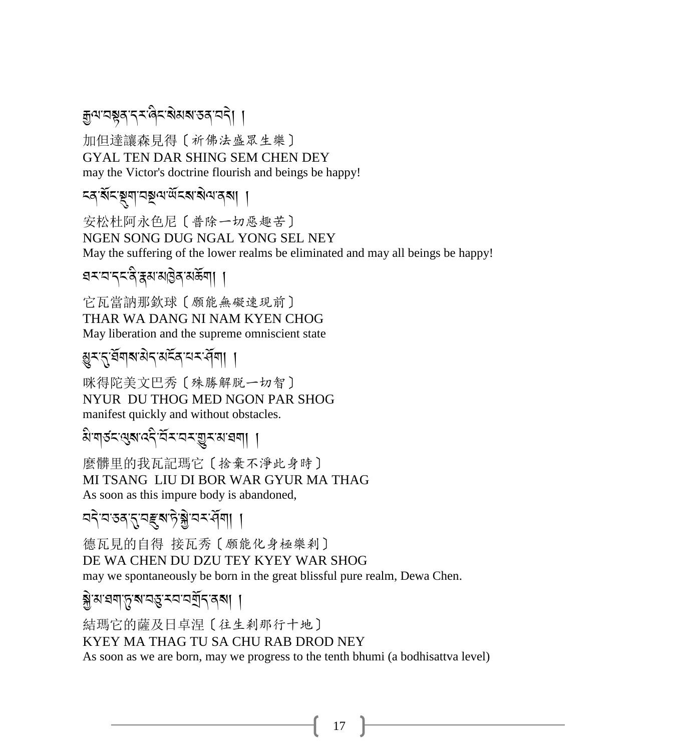# .<br>कुव्यादञ्चदाद्रा खेदाश्चेद्य अक्षा छन् । अस्य दि ।

加但達讓森見得〔祈佛法盛眾生樂〕 GYAL TEN DAR SHING SEM CHEN DEY may the Victor's doctrine flourish and beings be happy!

#### ন্ক'ৰ্মনস্থ্ৰশানমূলজনে স্বৰণ ।

安松杜阿永色尼〔普除一切惡趣苦〕 NGEN SONG DUG NGAL YONG SEL NEY May the suffering of the lower realms be eliminated and may all beings be happy!

### $\epsilon$ মনাবিদ্বিপ্লিয় প্ৰত্য

它瓦當訥那欽球〔願能無礙速現前〕 THAR WA DANG NI NAM KYEN CHOG May liberation and the supreme omniscient state

### <u> ગ</u>়ুমন্বিমৰাজ্যৰ অৰ্হৰ অৰ্মনী। ।

咪得陀美文巴秀〔殊勝解脱一切智〕 NYUR DU THOG MED NGON PAR SHOG manifest quickly and without obstacles.

# .<br>अंयाउदायु**द्याददीसूर्य**राजसीतील ।

麼髒里的我瓦記瑪它〔捨棄不淨此身時〕 MI TSANG LIU DI BOR WAR GYUR MA THAG As soon as this impure body is abandoned,

### ন্দ্ৰ'বন্দ্ৰ'ব্ৰম্পট্য সম্পৰ্কী। ।

德瓦見的自得 接瓦秀〔願能化身極樂剎〕 DE WA CHEN DU DZU TEY KYEY WAR SHOG may we spontaneously be born in the great blissful pure realm, Dewa Chen.

\*J-3-,\$-+-?-2&-<2-2PR.-/?, ,

結瑪它的薩及日卓涅〔往生剎那行十地〕 KYEY MA THAG TU SA CHU RAB DROD NEY As soon as we are born, may we progress to the tenth bhumi (a bodhisattva level)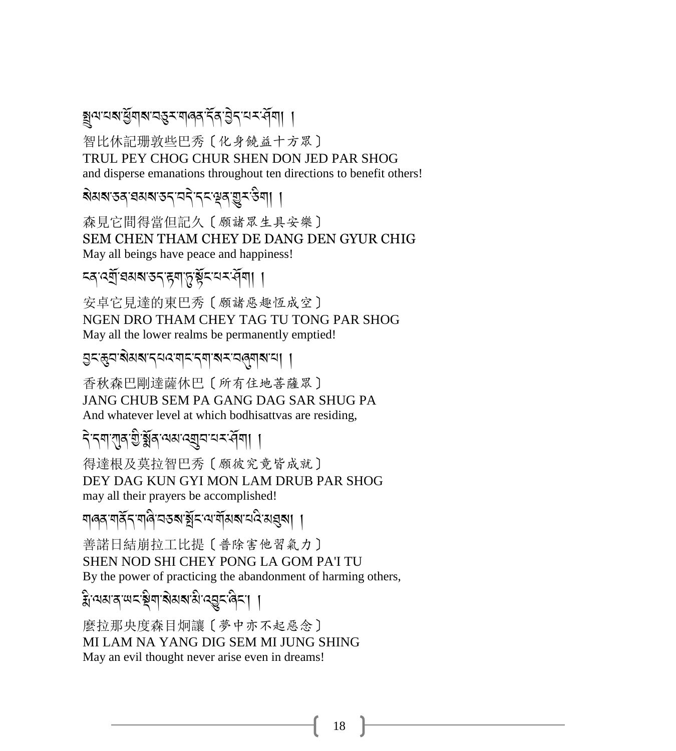### <u>য়</u>ুন্মমন্ত্ৰীৰামান্ত্ৰমন্মানৰ বিষ্টা নম্বনী। ।

智比休記珊敦些巴秀〔化身饒益十方眾〕 TRUL PEY CHOG CHUR SHEN DON JED PAR SHOG and disperse emanations throughout ten directions to benefit others!

# ়<br>ৰামৰাতৰ ব্ৰমৰাতন বনীত্ৰ বিষয়িত্ৰ প্ৰা

森見它間得當但記久〔願諸眾生具安樂〕 SEM CHEN THAM CHEY DE DANG DEN GYUR CHIG May all beings have peace and happiness!

### হ্ন ৰ্মী ঘমৰাত্ৰ কৰা চুৰ্স্কিৰ মহাবিদা ।

安卓它見達的東巴秀〔願諸惡趣恆成空〕 NGEN DRO THAM CHEY TAG TU TONG PAR SHOG May all the lower realms be permanently emptied!

#### এখ্যাপ্ৰাস্থ্য-বিদ্যায়ন্দ্ৰ স্থা

香秋森巴剛達薩休巴〔所有住地菩薩眾〕 JANG CHUB SEM PA GANG DAG SAR SHUG PA And whatever level at which bodhisattvas are residing,

# .<br>বিদ্যালন্ত স্থীর বিদ্যালয় বিদ্যা ।

得達根及莫拉智巴秀〔願彼究竟皆成就〕 DEY DAG KUN GYI MON LAM DRUB PAR SHOG may all their prayers be accomplished!

.<br>শাৰৰ শৰ্কিন শাৰী অভৰা ষ্ট্ৰাম শেষীমৰা মাই মন্ত্ৰৰ ।

善諾日結崩拉工比提〔普除害他習氣力〕 SHEN NOD SHI CHEY PONG LA GOM PA'I TU By the power of practicing the abandonment of harming others,

#### ्<br>सुप्यह्यात्रालयद्भिवाद्यह्याद्राप्तवुदाति । A

麼拉那央度森目炯讓〔夢中亦不起惡念〕 MI LAM NA YANG DIG SEM MI JUNG SHING May an evil thought never arise even in dreams!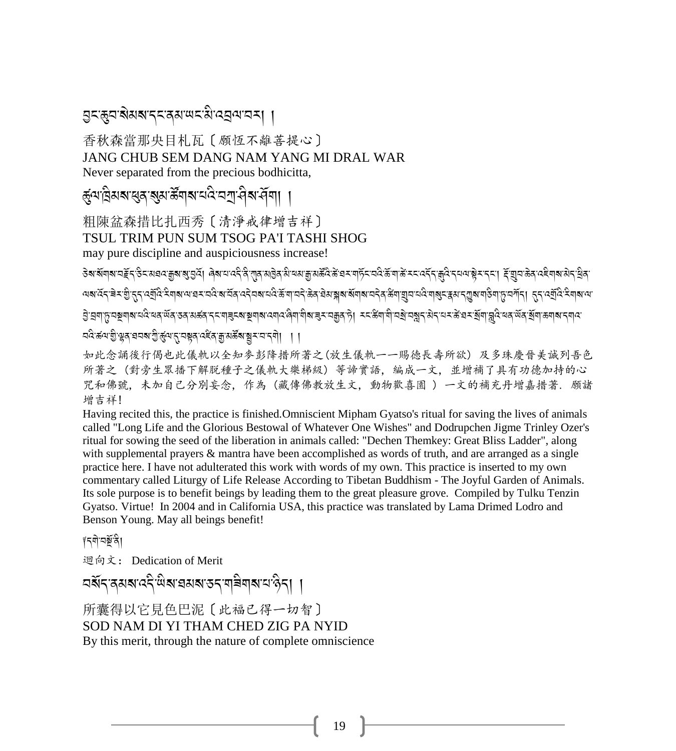#### 

香秋森當那央目札瓦〔願恆不離善提心〕 JANG CHUB SEM DANG NAM YANG MI DRAL WAR Never separated from the precious bodhicitta,

*कुं*यावेयबासुवासुयार्क्षेयाबायवे वर्गा पीबार्सेया। ।

粗陳盆森措比扎西秀〔清淨戒律增吉祥〕 TSUL TRIM PUN SUM TSOG PA'I TASHI SHOG may pure discipline and auspiciousness increase!

ऄॺॱॺॕॺऻॺॱय़ॾॕॖॸॱऀऄॸॴॿॴक़ॗॺॱॺॖॱॼॖ<u>ऀ</u>य़ऻॱॿॎऺॺॱॻफ़ऀॸऀॱग़ॺॱॵॖॺॴॖॹॖॱॶख़ॣॶॎख़ॶॷॷॱॺॶॾॱॳॷॖॱॾॱॳॷॳॷॷॷॷॷॷॷॷॷॷॷॷॷॷॷ ऄॖॱय़॒ॺऻफ़य़ॺॗॺऻॺॱय़॑देॱॺॺॱॺॕॺॱऊॺॱॺॾ॔ॺॱॸॸॱॺऻॾॖॸॺॱॺॗॺऻॺॱढ़ॺॺॱॺऀॺॱॿॏॺॱॾफ़ॻॿऄॱऄॱॱॸॱॐॺॱऄॷॱय़ॷॱॶॷॱॶॷॱॶॷॱख़ॷॎख़ॴख़ॱख़ चंदुः श्ल्ये जै. लेटबंट्यू अर्थविष्ट्ये अर्थव्यः स्टेड्यु च्या अस्य अर्थव्यः । या

如此念誦後行偈也此儀軌以全知麥彭降措所著之(放生儀軌一一賜徳長壽所欲)及多珠慶晉美誠列吾色 所著之(對旁生眾播下解脱種子之儀軌大樂梯級)等諦實語, 編成一文, 並增補了具有功德加持的心 咒和佛號,未加自己分別妄念,作為(藏傳佛教放生文,動物歡喜園 )一文的補充丹增嘉措著. 願諸 增吉祥!

Having recited this, the practice is finished. Omniscient Mipham Gyatso's ritual for saving the lives of animals called "Long Life and the Glorious Bestowal of Whatever One Wishes" and Dodrupchen Jigme Trinley Ozer's ritual for sowing the seed of the liberation in animals called: "Dechen Themkey: Great Bliss Ladder", along with supplemental prayers & mantra have been accomplished as words of truth, and are arranged as a single practice here. I have not adulterated this work with words of my own. This practice is inserted to my own commentary called Liturgy of Life Release According to Tibetan Buddhism - The Joyful Garden of Animals. Its sole purpose is to benefit beings by leading them to the great pleasure grove. Compiled by Tulku Tenzin Gyatso. Virtue! In 2004 and in California USA, this practice was translated by Lama Drimed Lodro and Benson Young. May all beings benefit!

#### ∦ร्षो'ন≋জী

迴向文: Dedication of Merit

ଘর্ষন ক্ষরা নেই জ্ঞান ক্ষর ক্ষর ক্ষর ক্ষর ক্ষর ক্ষর

所囊得以它見色巴泥〔此福已得一切智〕 SOD NAM DI YI THAM CHED ZIG PA NYID By this merit, through the nature of complete omniscience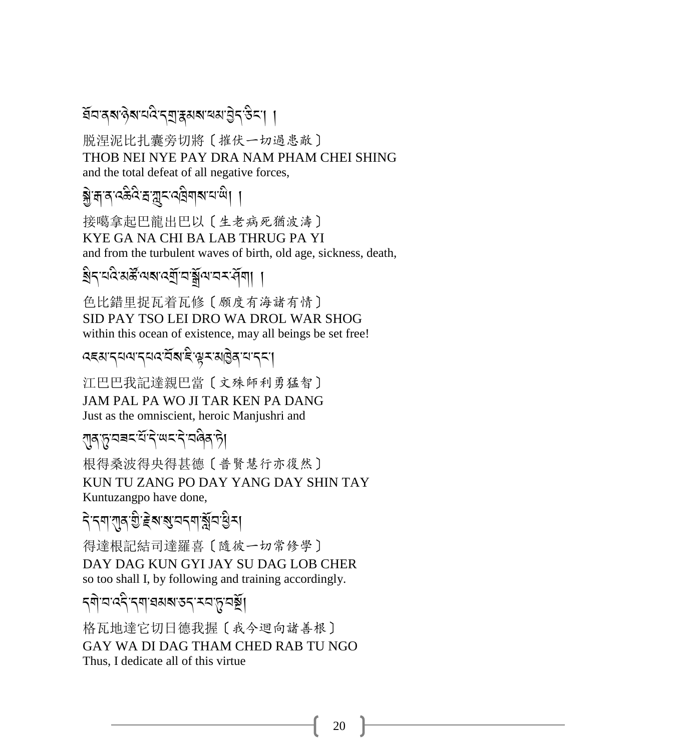### ইনন্ত্ৰ'ৰ অনিমান্ত্ৰ'ৰ স্বাস্থ্য বিদ্যাতি

脱涅泥比扎囊旁切將〔摧伏一切過患敵〕 THOB NEI NYE PAY DRA NAM PHAM CHEI SHING and the total defeat of all negative forces,

### <u>ङ्ग्रेज्ञात्रुप्रदेश्याञ्चाराज्येता साहित्य</u>

接噶拿起巴龍出巴以〔生老病死猶波濤〕 KYE GA NA CHI BA LAB THRUG PA YI and from the turbulent waves of birth, old age, sickness, death,

### খন নতু প্ৰস্কুলে প্ৰতি আৰু বিভিন্ন প্ৰায়।

色比錯里捉瓦着瓦修〔願度有海諸有情〕 SID PAY TSO LEI DRO WA DROL WAR SHOG within this ocean of existence, may all beings be set free!

#### ෬౾য়ৼ৴য়ড়ৼ৸ৼ৻ৼ৻ৼ৻ৼ৻ৼ৻ৼ৸ৼঀড়ঀৼ৻৸ৼ

江巴巴我記達親巴當〔文殊師利勇猛智〕 JAM PAL PA WO JI TAR KEN PA DANG Just as the omniscient, heroic Manjushri and

### <sub>৻</sub>য়ঀড়ড়য়য়ৼয়৻ৼ৻ৼ৻ৼ৻ৼ৻ড়৻৸৻৸

根得桑波得央得其德〔普賢慧行亦復然〕 KUN TU ZANG PO DAY YANG DAY SHIN TAY Kuntuzangpo have done,

### ঀ৾ৼঀয়ৼয়ড়ড়য়য়৻য়ৼঢ়ড়৻৸

得達根記結司達羅喜〔隨彼一切常修學〕 DAY DAG KUN GYI JAY SU DAG LOB CHER so too shall I, by following and training accordingly.

### *ॸ*्षो व दि तथा व्यवाउन म्यफ़ु वर्ष्ट्स्

格瓦地達它切日德我握〔我今迴向諸善根〕 GAY WA DI DAG THAM CHED RAB TU NGO Thus. I dedicate all of this virtue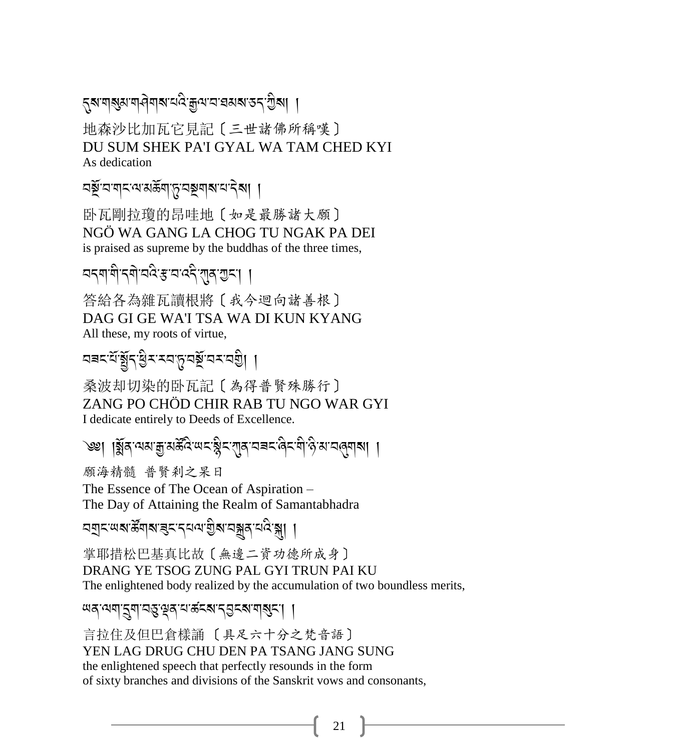*ਜ਼*য়য়৶য়ড়ঢ়ঢ়৸ৼঢ়ড়৻ড়৸ৼঢ়ড়৸৾

地森沙比加瓦它見記〔三世諸佛所稱嘆〕 DU SUM SHEK PA'I GYAL WA TAM CHED KYI As dedication

<u> নৡঁ</u> ন'মান'ঝ'ৰ্মজ্যাস'নছমাস'নীৰ পৰী

卧瓦剛拉瓊的昂哇地〔如是最勝諸大願〕 NGÖ WA GANG LA CHOG TU NGAK PA DEI is praised as supreme by the buddhas of the three times,

वद्रषां वीदवो ववेः सावदे रावि गुदा ।

答給各為雜瓦讀根將〔我今迴向諸善根〕 DAG GI GE WA'I TSA WA DI KUN KYANG All these, my roots of virtue,

বৰবর্ষুধুধুৰ বাঠনাই বৰ্ষ যা

桑波却切染的卧瓦記〔為得普賢殊勝行〕 ZANG PO CHÔD CHIR RAB TU NGO WAR GYL I dedicate entirely to Deeds of Excellence.

৩≌। ।য়ুঁৰ অমত্ৰু মৰ্ক্টবি অহান্ত্ৰীহ'নাৰ অৱহাৰী ও মাহৰিয়া ।

願海精髓 普賢剎之杲日 The Essence of The Ocean of Aspiration -The Day of Attaining the Realm of Samantabhadra

掌耶措松巴基真比故〔無邊二資功德所成身〕 DRANG YE TSOG ZUNG PAL GYI TRUN PAI KU The enlightened body realized by the accumulation of two boundless merits,

षवायया:द्वया:नङ्क्ष्वाय:कॅटबा:नञ्जटबा:बाबुड:। ।

言拉住及但巴倉樣誦 〔具足六十分之梵音語〕 YEN LAG DRUG CHU DEN PA TSANG JANG SUNG the enlightened speech that perfectly resounds in the form of sixty branches and divisions of the Sanskrit vows and consonants,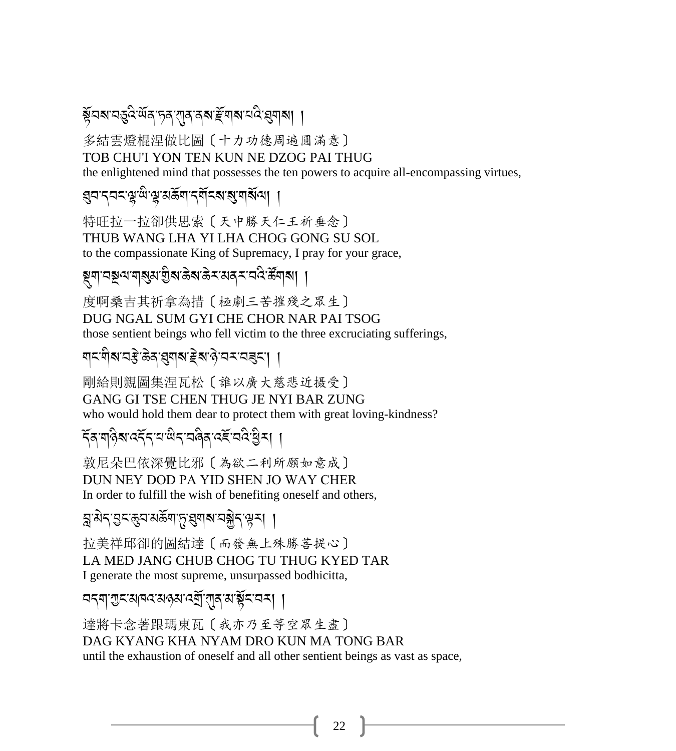### ষ্ট্ৰমম মন্ত্ৰই অঁৰ দূৰ বাৰ ৰম দ্ৰীমাম মই ব্ৰমাৰা ।

多結雲燈棍涅做比圖〔十力功德周遍圓滿意〕 TOB CHU'I YON TEN KUN NE DZOG PAI THUG

the enlightened mind that possesses the ten powers to acquire all-encompassing virtues,

<mark>gন নব্দ জীজী প্ৰাপ্তমা</mark> দিছে পৰি প্ৰাপ্ত বি

特旺拉一拉卻供思索 [天中勝天仁王祈垂念] THUB WANG LHA YI LHA CHOG GONG SU SOL to the compassionate King of Supremacy, I pray for your grace,

### 

度啊桑吉其祈拿為措〔極劇三苦摧殘之眾生〕 DUG NGAL SUM GYI CHE CHOR NAR PAI TSOG those sentient beings who fell victim to the three excruciating sufferings,

### শ্ৰমণীৰ বস্তু ক্ৰম ব্ৰম্বাৰ দ্বাৰ্থ প্ৰমণ বৰ্ত্তা

剛給則親圖集涅瓦松〔誰以廣大慈悲近摄令〕 GANG GI TSE CHEN THUG JE NYI BAR ZUNG who would hold them dear to protect them with great loving-kindness?

### *ৼ৾*ঌৼঀৡয়ৼঽৼৼৼড়৻ড়ৼৼ৻ড়৻ৼ৻ৼ৻ৼ৻ৼ৻ৼ৻ৼ৻ৼ৻ৼ৻ৼ৻

敦尼朵巴依深覺比邪〔為欲二利所願如意成〕 DUN NEY DOD PA YID SHEN JO WAY CHER In order to fulfill the wish of benefiting oneself and others,

ब्रु:अन्'युद्ध्यासङ्गाप्तृ: सुगबायञ्जेन सूत्रा ।

拉美祥邱卻的圖結達〔而發無上殊勝菩提心〕 LA MED JANG CHUB CHOG TU THUG KYED TAR I generate the most supreme, unsurpassed bodhicitta,

অন্মা অন্যান্ত অণ্ড অন্যান্ত আৰ্থিন অন্যা

達將卡念著跟瑪東瓦〔我亦乃至等空眾生盡〕 DAG KYANG KHA NYAM DRO KUN MA TONG BAR until the exhaustion of oneself and all other sentient beings as vast as space,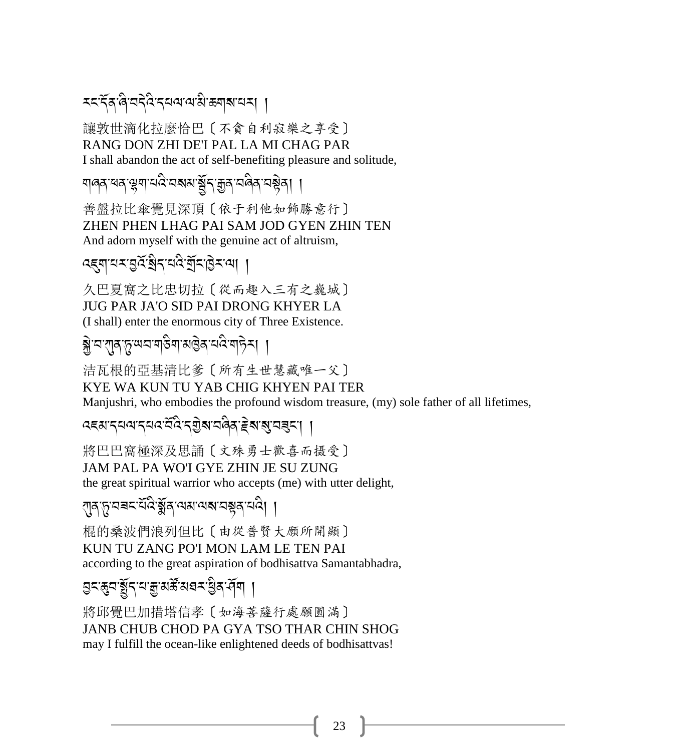**दददिव बिद्यदेद दयवा वा अक्षय** सम्

讓敦世滴化拉麼恰巴〔不貪自利寂樂之享受〕 RANG DON ZHI DE'I PAL LA MI CHAG PAR I shall abandon the act of self-benefiting pleasure and solitude,

য়ড়য়ৼড়ৼড়য়ৗৼড়ড়য়য়ড়য়ৼড়ড়ৼঢ়ড়ড়ৼঢ়ড়৻৸

善盤拉比傘覺見深頂〔依于利他如飾勝意行〕 ZHEN PHEN LHAG PAI SAM JOD GYEN ZHIN TEN And adorn myself with the genuine act of altruism,

ওইনালৰ থিপুৰুৱাই আৰু দুৰ্বাৰ্থ ।

久巴夏窩之比忠切拉〔從而趣入三有之巍城〕 **JUG PAR JA'O SID PAI DRONG KHYER LA** (I shall) enter the enormous city of Three Existence.

<u>ङ्ग्रेभ्य'रात्रुप्तृ</u>प्यवायउिषाअड्विद्यविज्ञानिका ।

洁瓦根的亞基清比爹〔所有生世慧藏唯一父〕 KYE WA KUN TU YAB CHIG KHYEN PAI TER Manjushri, who embodies the profound wisdom treasure, (my) sole father of all lifetimes,

दहसादयवादयवर्द्धदशुबावतेवाद्देबाबुवाइदा ।

將巴巴窩極深及思誦〔文殊勇士歡喜而摄受〕 JAM PAL PA WO'I GYE ZHIN JE SU ZUNG the great spiritual warrior who accepts (me) with utter delight,

্শৰূত্বৰঘৰ্ষিষ্ণৰ অমানমানম্বৰ্ণ বি| ।

棍的桑波們浪列但比〔由從普賢大願所開顯〕 KUN TU ZANG PO'I MON LAM LE TEN PAI according to the great aspiration of bodhisattva Samantabhadra,

এন্ঞ্ৰযুঁন্মক্ৰামৰ্স্ক মহনাইৰ <u>প</u>ৰা ।

將邱覺巴加措塔信孝「如海菩薩行處願鳳滿] JANB CHUB CHOD PA GYA TSO THAR CHIN SHOG may I fulfill the ocean-like enlightened deeds of bodhisattvas!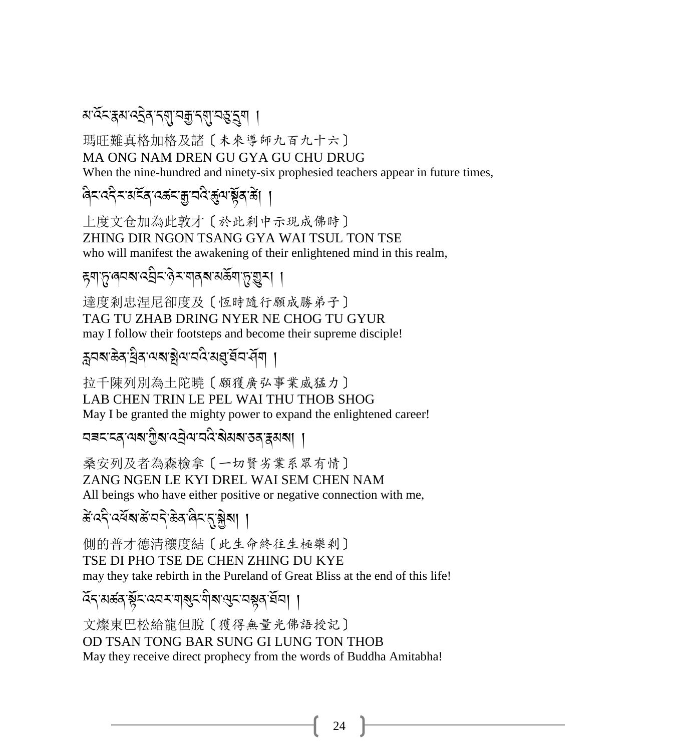### *ম*'ৰ্দ্ৰেম'ৰ্হৰ'ৰ্ম্'ন্কু'ৰ্ম্'ন্হু'ৰ্ম ।

瑪旺難真格加格及諸〔未來導師九百九十六〕 MA ONG NAM DREN GU GYA GU CHU DRUG

When the nine-hundred and ninety-six prophesied teachers appear in future times,

बिदाददैदाअद्रवादक्षदाक्षावदिर्कुषाञ्चेवाले। ।

上度文仓加為此敦才〔於此剎中示現成佛時〕 ZHING DIR NGON TSANG GYA WAI TSUL TON TSE who will manifest the awakening of their enlightened mind in this realm,

### *ह्*याप्तु:लयबादवेदाकेदावाबबाबर्कवाप्तुःशुरु। ।

達度剎忠涅尼卻度及〔恆時隨行願成勝弟子〕 TAG TU ZHAB DRING NYER NE CHOG TU GYUR may I follow their footsteps and become their supreme disciple!

ক্লবৰাজ্য দ্ৰিৰ অৰাষ্ট্ৰবাবৰ মন্ত্ৰ ব্ৰানী ।

拉千陳列別為土陀曉〔願獲廣弘事業威猛力〕 LAB CHEN TRIN LE PEL WAI THU THOB SHOG May I be granted the mighty power to expand the enlightened career!

ঘৰমাৰে অথাগ্ৰীৰ বেট্ৰআনবি ৰামৰ প্ৰাপ্ত প্ৰাপ্ত ।

桑安列及者為森檢拿〔一切賢劣業系眾有情〕 ZANG NGEN LE KYI DREL WAI SEM CHEN NAM All beings who have either positive or negative connection with me,

ङे दद्दे दर्वे बार्डे वदे ऊर बैद <u>दृ</u>ञ्जबा ।

側的普才德清穰度結〔此生命終往生極樂刹〕 TSE DI PHO TSE DE CHEN ZHING DU KYE may they take rebirth in the Pureland of Great Bliss at the end of this life!

হিন'মৰ্জন'ৰ্ষ্ণৃন'বেনম'নাৰ্জন'নীৰা শ্ৰেন'নম্ভন'ৰ্ষনা ।

文燦東巴松給龍但脫〔獲得無量光佛語授記〕 OD TSAN TONG BAR SUNG GI LUNG TON THOB May they receive direct prophecy from the words of Buddha Amitabha!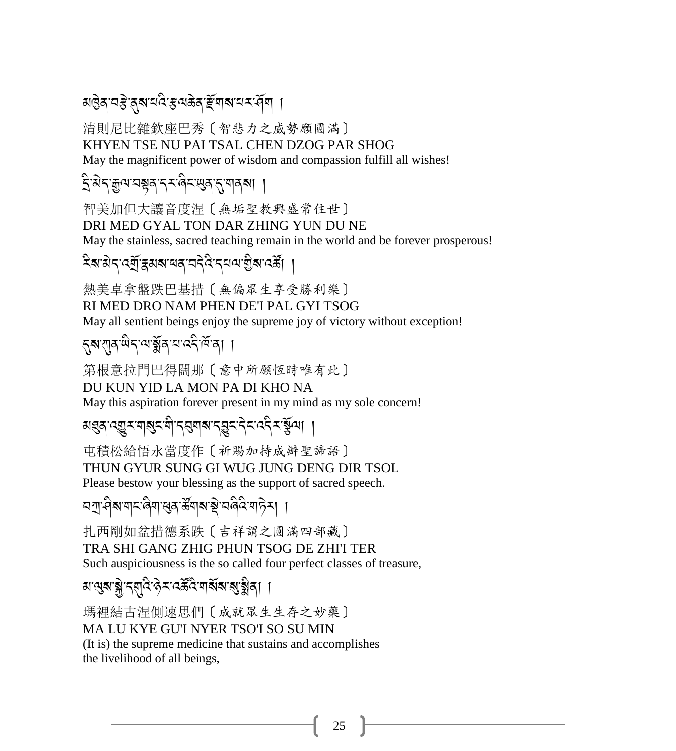### য়৾৾৾*ঀৣ৾ঽ৾ড়য়ৣ৾ৼয়ড়ড়ৼড়ড়ড়ৼড়ড়৸ড়ড়ড়ড়ড়ৗ*ড়ড়৸

清則尼比雜欽座巴秀〔智悲力之威勢願圓滿〕

KHYEN TSE NU PAI TSAL CHEN DZOG PAR SHOG

May the magnificent power of wisdom and compassion fulfill all wishes!

### ই:अेन्:कुत्रपञ्चूब्'न्-संबेन्'सुब्'नु'गब्बा ।

智美加但大讓音度涅〔無垢聖教興盛常住世〕 DRI MED GYAL TON DAR ZHING YUN DU NE

May the stainless, sacred teaching remain in the world and be forever prosperous!

### देवारोदय्युं द्वावायवाददेव दयवाश्वीवादर्के।

熱美卓拿盤跌巴基措〔無偏眾生享受勝利樂〕 RI MED DRO NAM PHEN DE'I PAL GYI TSOG May all sentient beings enjoy the supreme joy of victory without exception!

第根意拉門巴得闊那〔意中所願恆時唯有此〕 DU KUN YID LA MON PA DI KHO NA

May this aspiration forever present in my mind as my sole concern!

য়য়৶ৼড়ৗৼয়৾ৼড়৾ৼড়ৢঢ়ৼড়৸ৼঀড়ৼ৻ড়৸৸৸

屯積松給悟永當度作〔祈賜加持成辦聖諦語〕 THUN GYUR SUNG GI WUG JUNG DENG DIR TSOL Please bestow your blessing as the support of sacred speech.

<u>дग</u>ु-वैबागदलिगाखुबार्केंगबाङ्गे चलैदाग6ेन् । ।

扎西剛如盆措德系跌〔吉祥謂之圓滿四部藏〕 TRA SHI GANG ZHIG PHUN TSOG DE ZHI'I TER Such auspiciousness is the so called four perfect classes of treasure,

### *ম* ন্থেৰ'ৰ্ক্স'ন্ম্মুৰ্ব'ৰ্ক্স-'ৰ্ক্সেৰ্ব্ব'ৰ্মৰ্ম'ৰ্ম্মুৰ্ব্বা ।

瑪裡結古涅側速思們〔成就眾生生存之妙藥〕 MA LU KYE GU'I NYER TSO'I SO SU MIN (It is) the supreme medicine that sustains and accomplishes

the livelihood of all beings,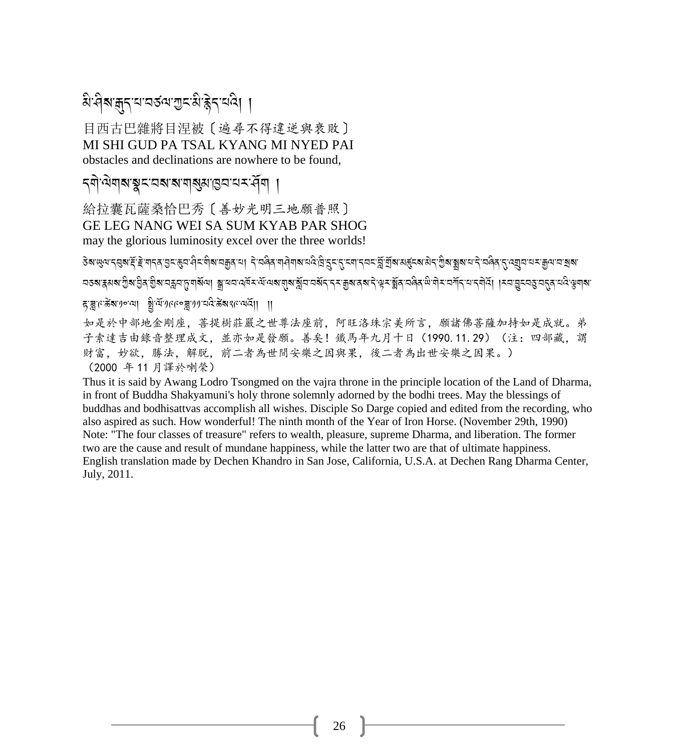### बे विबाक्नुनायावरुत्वागुदाबी हेनायवे। ।

目西古巴雜將目涅被〔遍尋不得違逆與衰敗〕 MI SHI GUD PA TSAL KYANG MI NYED PAI obstacles and declinations are nowhere to be found,

### **द्भोज्यबाद्यङ्गदाद्याद्याञ्चा** ।

給拉囊瓦薩桑恰巴秀〔善妙光明三地願普照〕 **GE LEG NANG WEI SA SUM KYAB PAR SHOG** may the glorious luminosity excel over the three worlds!

বহুৱাইগৰাত্ৰীৰ বুৰি বিধান ইলাইনো আৰু কাৰ্য বৰ্তু পূৰ্বৰ প্ৰতি বেৰাই কৰি প্ৰতি কৰি প্ৰতি বিধান কৰি কৰি বিধান পৰ हञ्जल्केंबा गुरु था शिया गरह के अरल्यवा ॥

如是於中部地金剛座,菩提樹莊嚴之世尊法座前,阿旺洛珠宗美所言,願諸佛菩薩加持如是成就。弟 子索達吉由錄音整理成文,並亦如是發願。善矣!鐵馬年九月十日 (1990.11.29) (注:四部藏,謂 財富, 妙欲, 勝法, 解脱, 前二者為世間安樂之因與果, 後二者為出世安樂之因果。) (2000年11月譯於喇榮)

Thus it is said by Awang Lodro Tsongmed on the vajra throne in the principle location of the Land of Dharma, in front of Buddha Shakyamuni's holy throne solemnly adorned by the bodhi trees. May the blessings of buddhas and bodhisattvas accomplish all wishes. Disciple So Darge copied and edited from the recording, who also aspired as such. How wonderful! The ninth month of the Year of Iron Horse. (November 29th, 1990) Note: "The four classes of treasure" refers to wealth, pleasure, supreme Dharma, and liberation. The former two are the cause and result of mundane happiness, while the latter two are that of ultimate happiness. English translation made by Dechen Khandro in San Jose, California, U.S.A. at Dechen Rang Dharma Center, July, 2011.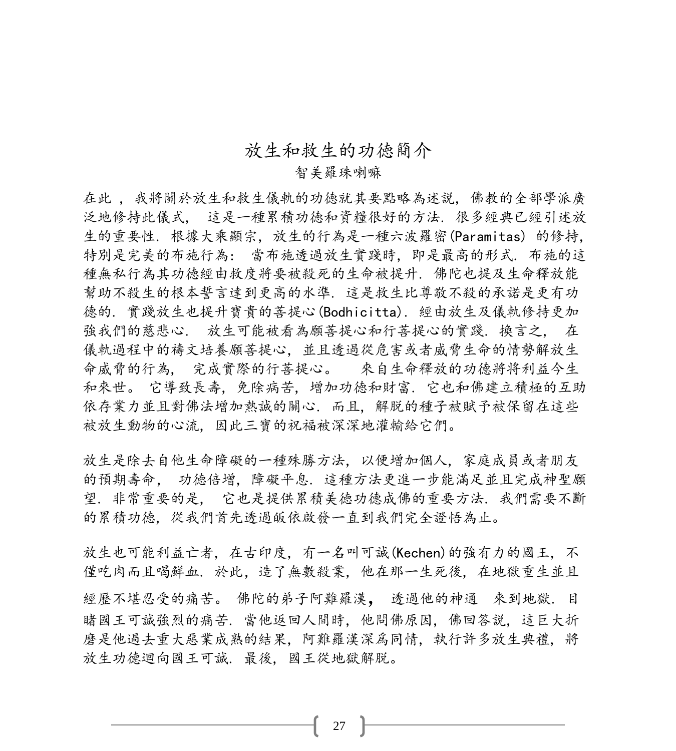#### 放生和救生的功徳簡介

#### 智美羅珠喇嘛

在此 , 我將關於放生和救生儀軌的功徳就其要點略為述説, 佛教的全部學派廣 泛地修持此儀式, 這是一種累積功徳和資糧很好的方法. 很多經典已經引述放 生的重要性. 根據大乘顯宗, 放生的行為是一種六波羅密(Paramitas) 的修持, 特別是完美的布施行為: 當布施透過放生實踐時, 即是最高的形式. 布施的這 種無私行為其功徳經由救度將要被殺死的生命被提升. 佛陀也提及生命釋放能 幫助不殺生的根本誓言達到更高的水準. 這是救生比尊敬不殺的承諾是更有功 德的. 實踐放生也提升寶貴的菩提心(Bodhicitta). 經由放生及儀軌修持更加 強我們的慈悲心. 放生可能被看為願菩提心和行菩提心的實踐. 換言之, 在 儀軌過程中的禱文培養願菩提心, 並且透過從危害或者威脅生命的情勢解放生 命威脅的行為, 完成實際的行菩提心。 來自生命釋放的功德將将利益今生 和來世。 它導致長壽, 免除病苦, 增加功徳和財富. 它也和佛建立積極的互助 依存業力並且對佛法增加熱誠的關心. 而且, 解脱的種子被賦予被保留在這些 被放生動物的心流, 因此三寶的祝福被深深地灌輸給它們。

放生是除去自他生命障礙的一種殊勝方法, 以便增加個人, 家庭成員或者朋友 的預期壽命, 功徳倍增, 障礙平息. 這種方法更進一步能滿足並且完成神聖願 望. 非常重要的是, 它也是提供累積美徳功德成佛的重要方法. 我們需要不斷 的累積功徳, 從我們首先透過皈依啟發一直到我們完全證悟為止。

放生也可能利益亡者, 在古印度, 有一名叫可誠(Kechen)的強有力的國王, 不 僅吃肉而且喝鮮血. 於此,造了無數殺業, 他在那一生死後, 在地獄重生並且 經歷不堪忍受的痛苦。 佛陀的弟子阿難羅漢, 透過他的神通 來到地獄. <sup>目</sup> 睹國王可誠強烈的痛苦. 當他返回人間時, 他問佛原因, 佛回答説, 這巨大折 磨是他過去重大惡業成熟的結果, 阿難羅漢深爲同情, 執行許多放生典禮, 將 放生功德迴向國王可誠. 最後, 國王從地獄解脱。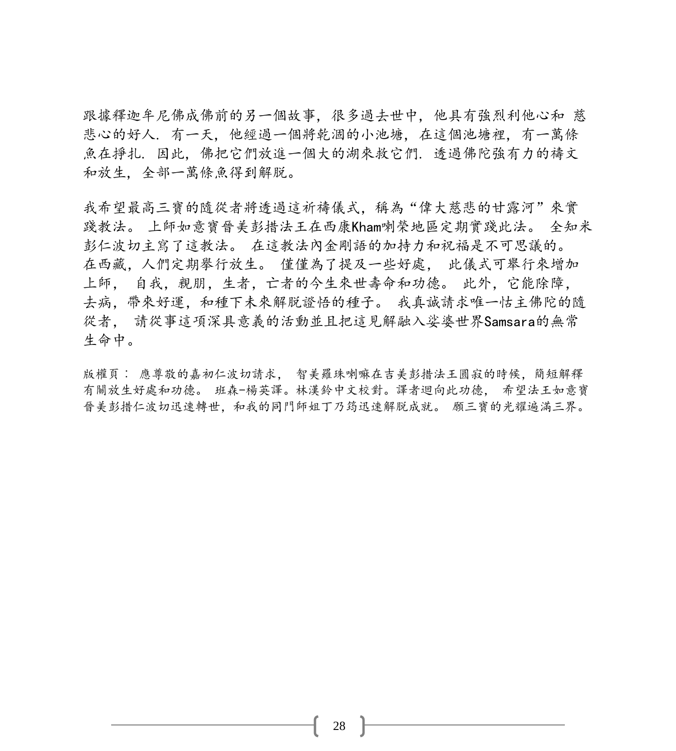跟據釋迦牟尼佛成佛前的另一個故事, 很多過去世中, 他具有強烈利他心和 慈 悲心的好人. 有一天, 他經過一個將乾涸的小池塘, 在這個池塘裡, 有一萬條 魚在掙扎. 因此, 佛把它們放進一個大的湖來救它們. 透過佛陀強有力的禱文 和放生, 全部一萬條魚得到解脱。

我希望最高三寶的隨從者將透過這祈禱儀式,稱為"偉大慈悲的甘露河"來實 踐教法。 上師如意寶晉美彭措法王在西康Kham喇榮地區定期實踐此法。 全知米 彭仁波切主寫了這教法。 在這教法內金剛語的加持力和祝福是不可思議的。 在西藏,人們定期擧行放生。 僅僅為了提及一些好處, 此儀式可舉行來增加 上師, 自我,親朋,生者,亡者的今生來世壽命和功德。 此外,它能除障, 去病,帶來好運,和種下未來解脱證悟的種子。 我真誠請求唯一怙主佛陀的隨 從者, 請從事這項深具意義的活動並且把這見解融入娑婆世界Samsara的無常 生命中。

版權頁︰ 應尊敬的嘉初仁波切請求, 智美羅珠喇嘛在吉美彭措法王圓寂的時候,簡短解釋 有關放生好處和功德。 班森-楊英譯。林漢鈴中文校對。譯者迴向此功德, 希望法王如意寶 晉美彭措仁波切迅速轉世,和我的同門師姐丁乃筠迅速解脱成就。 願三寶的光耀遍滿三界。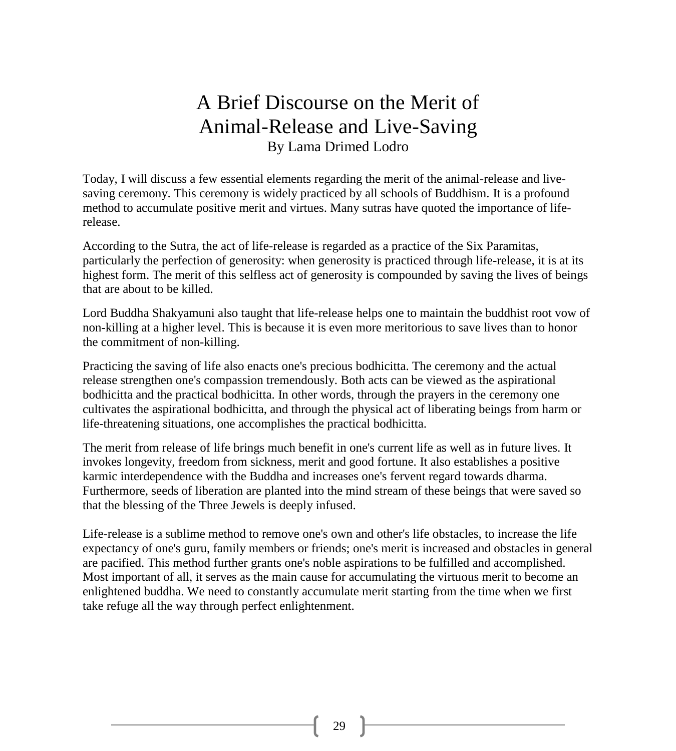#### A Brief Discourse on the Merit of Animal-Release and Live-Saving By Lama Drimed Lodro

Today, I will discuss a few essential elements regarding the merit of the animal-release and livesaving ceremony. This ceremony is widely practiced by all schools of Buddhism. It is a profound method to accumulate positive merit and virtues. Many sutras have quoted the importance of liferelease.

According to the Sutra, the act of life-release is regarded as a practice of the Six Paramitas, particularly the perfection of generosity: when generosity is practiced through life-release, it is at its highest form. The merit of this selfless act of generosity is compounded by saving the lives of beings that are about to be killed.

Lord Buddha Shakyamuni also taught that life-release helps one to maintain the buddhist root vow of non-killing at a higher level. This is because it is even more meritorious to save lives than to honor the commitment of non-killing.

Practicing the saving of life also enacts one's precious bodhicitta. The ceremony and the actual release strengthen one's compassion tremendously. Both acts can be viewed as the aspirational bodhicitta and the practical bodhicitta. In other words, through the prayers in the ceremony one cultivates the aspirational bodhicitta, and through the physical act of liberating beings from harm or life-threatening situations, one accomplishes the practical bodhicitta.

The merit from release of life brings much benefit in one's current life as well as in future lives. It invokes longevity, freedom from sickness, merit and good fortune. It also establishes a positive karmic interdependence with the Buddha and increases one's fervent regard towards dharma. Furthermore, seeds of liberation are planted into the mind stream of these beings that were saved so that the blessing of the Three Jewels is deeply infused.

Life-release is a sublime method to remove one's own and other's life obstacles, to increase the life expectancy of one's guru, family members or friends; one's merit is increased and obstacles in general are pacified. This method further grants one's noble aspirations to be fulfilled and accomplished. Most important of all, it serves as the main cause for accumulating the virtuous merit to become an enlightened buddha. We need to constantly accumulate merit starting from the time when we first take refuge all the way through perfect enlightenment.